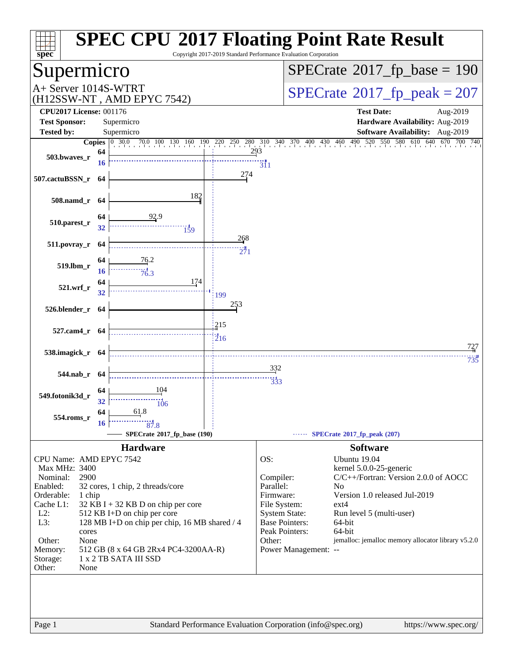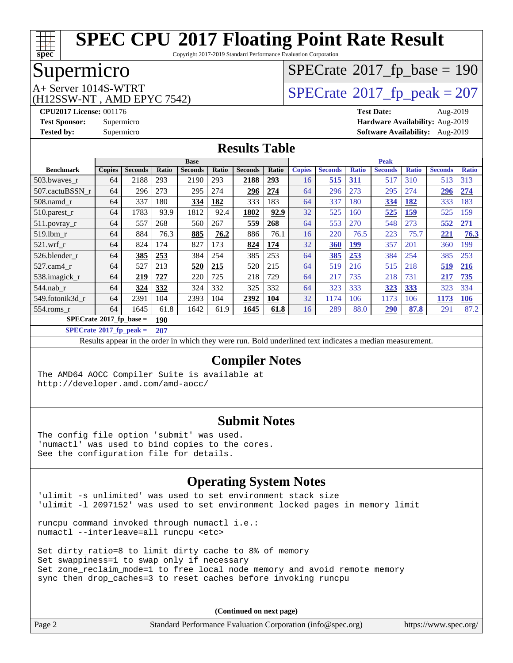

Copyright 2017-2019 Standard Performance Evaluation Corporation

# Supermicro

(H12SSW-NT , AMD EPYC 7542)

# $SPECTate$ <sup>®</sup>[2017\\_fp\\_base =](http://www.spec.org/auto/cpu2017/Docs/result-fields.html#SPECrate2017fpbase) 190

A+ Server 1014S-WTRT<br>
(H12SSW-NT AMD EPYC 7542) [SPECrate](http://www.spec.org/auto/cpu2017/Docs/result-fields.html#SPECrate2017fppeak)®[2017\\_fp\\_peak = 2](http://www.spec.org/auto/cpu2017/Docs/result-fields.html#SPECrate2017fppeak)07

**[CPU2017 License:](http://www.spec.org/auto/cpu2017/Docs/result-fields.html#CPU2017License)** 001176 **[Test Date:](http://www.spec.org/auto/cpu2017/Docs/result-fields.html#TestDate)** Aug-2019 **[Test Sponsor:](http://www.spec.org/auto/cpu2017/Docs/result-fields.html#TestSponsor)** Supermicro **[Hardware Availability:](http://www.spec.org/auto/cpu2017/Docs/result-fields.html#HardwareAvailability)** Aug-2019 **[Tested by:](http://www.spec.org/auto/cpu2017/Docs/result-fields.html#Testedby)** Supermicro **[Software Availability:](http://www.spec.org/auto/cpu2017/Docs/result-fields.html#SoftwareAvailability)** Aug-2019

### **[Results Table](http://www.spec.org/auto/cpu2017/Docs/result-fields.html#ResultsTable)**

|                                  | <b>Base</b>   |                |       |                | <b>Peak</b> |                |            |               |                |              |                |              |                |              |
|----------------------------------|---------------|----------------|-------|----------------|-------------|----------------|------------|---------------|----------------|--------------|----------------|--------------|----------------|--------------|
| <b>Benchmark</b>                 | <b>Copies</b> | <b>Seconds</b> | Ratio | <b>Seconds</b> | Ratio       | <b>Seconds</b> | Ratio      | <b>Copies</b> | <b>Seconds</b> | <b>Ratio</b> | <b>Seconds</b> | <b>Ratio</b> | <b>Seconds</b> | <b>Ratio</b> |
| 503.bwayes_r                     | 64            | 2188           | 293   | 2190           | 293         | 2188           | <u>293</u> | 16            | 515            | <u>311</u>   | 517            | 310          | 513            | 313          |
| 507.cactuBSSN r                  | 64            | 296            | 273   | 295            | 274         | 296            | 274        | 64            | 296            | 273          | 295            | 274          | 296            | 274          |
| $508$ .namd $r$                  | 64            | 337            | 180   | 334            | 182         | 333            | 183        | 64            | 337            | 180          | 334            | 182          | 333            | 183          |
| 510.parest_r                     | 64            | 1783           | 93.9  | 1812           | 92.4        | 1802           | 92.9       | 32            | 525            | 160          | 525            | <u>159</u>   | 525            | 159          |
| 511.povray_r                     | 64            | 557            | 268   | 560            | 267         | 559            | 268        | 64            | 553            | 270          | 548            | 273          | 552            | 271          |
| 519.1bm r                        | 64            | 884            | 76.3  | 885            | 76.2        | 886            | 76.1       | 16            | 220            | 76.5         | 223            | 75.7         | 221            | 76.3         |
| $521$ .wrf r                     | 64            | 824            | 174   | 827            | 173         | 824            | 174        | 32            | 360            | 199          | 357            | 201          | 360            | 199          |
| 526.blender r                    | 64            | 385            | 253   | 384            | 254         | 385            | 253        | 64            | 385            | 253          | 384            | 254          | 385            | 253          |
| $527$ .cam $4r$                  | 64            | 527            | 213   | 520            | 215         | 520            | 215        | 64            | 519            | 216          | 515            | 218          | 519            | <b>216</b>   |
| 538.imagick_r                    | 64            | 219            | 727   | 220            | 725         | 218            | 729        | 64            | 217            | 735          | 218            | 731          | 217            | 735          |
| 544.nab_r                        | 64            | 324            | 332   | 324            | 332         | 325            | 332        | 64            | 323            | 333          | 323            | 333          | 323            | 334          |
| 549.fotonik3d r                  | 64            | 2391           | 104   | 2393           | 104         | 2392           | <u>104</u> | 32            | 1174           | 106          | 1173           | 106          | 1173           | <b>106</b>   |
| $554$ .roms r                    | 64            | 1645           | 61.8  | 1642           | 61.9        | 1645           | 61.8       | 16            | 289            | 88.0         | <u>290</u>     | 87.8         | 291            | 87.2         |
| $SPECrate^{\circ}2017$ fp base = |               |                | 190   |                |             |                |            |               |                |              |                |              |                |              |

**[SPECrate](http://www.spec.org/auto/cpu2017/Docs/result-fields.html#SPECrate2017fppeak)[2017\\_fp\\_peak =](http://www.spec.org/auto/cpu2017/Docs/result-fields.html#SPECrate2017fppeak) 207**

Results appear in the [order in which they were run.](http://www.spec.org/auto/cpu2017/Docs/result-fields.html#RunOrder) Bold underlined text [indicates a median measurement.](http://www.spec.org/auto/cpu2017/Docs/result-fields.html#Median)

#### **[Compiler Notes](http://www.spec.org/auto/cpu2017/Docs/result-fields.html#CompilerNotes)**

The AMD64 AOCC Compiler Suite is available at <http://developer.amd.com/amd-aocc/>

#### **[Submit Notes](http://www.spec.org/auto/cpu2017/Docs/result-fields.html#SubmitNotes)**

The config file option 'submit' was used. 'numactl' was used to bind copies to the cores. See the configuration file for details.

### **[Operating System Notes](http://www.spec.org/auto/cpu2017/Docs/result-fields.html#OperatingSystemNotes)**

'ulimit -s unlimited' was used to set environment stack size 'ulimit -l 2097152' was used to set environment locked pages in memory limit

runcpu command invoked through numactl i.e.: numactl --interleave=all runcpu <etc>

Set dirty\_ratio=8 to limit dirty cache to 8% of memory Set swappiness=1 to swap only if necessary Set zone\_reclaim\_mode=1 to free local node memory and avoid remote memory sync then drop\_caches=3 to reset caches before invoking runcpu

| Page 2 | Standard Performance Evaluation Corporation (info@spec.org) | https://www.spec.org/ |
|--------|-------------------------------------------------------------|-----------------------|
|--------|-------------------------------------------------------------|-----------------------|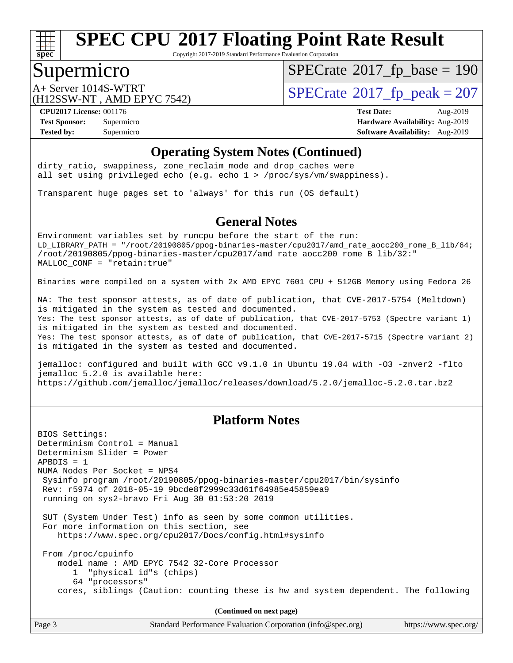

Copyright 2017-2019 Standard Performance Evaluation Corporation

### Supermicro

 $SPECTate$ <sup>®</sup>[2017\\_fp\\_base =](http://www.spec.org/auto/cpu2017/Docs/result-fields.html#SPECrate2017fpbase) 190

(H12SSW-NT , AMD EPYC 7542)

 $A+$  Server 1014S-WTRT  $\begin{array}{c|c}\n\text{SPECrate} \text{\textdegree}2017\_fp\_peak = 207\n\end{array}$  $\begin{array}{c|c}\n\text{SPECrate} \text{\textdegree}2017\_fp\_peak = 207\n\end{array}$  $\begin{array}{c|c}\n\text{SPECrate} \text{\textdegree}2017\_fp\_peak = 207\n\end{array}$ 

**[CPU2017 License:](http://www.spec.org/auto/cpu2017/Docs/result-fields.html#CPU2017License)** 001176 **[Test Date:](http://www.spec.org/auto/cpu2017/Docs/result-fields.html#TestDate)** Aug-2019 **[Test Sponsor:](http://www.spec.org/auto/cpu2017/Docs/result-fields.html#TestSponsor)** Supermicro **[Hardware Availability:](http://www.spec.org/auto/cpu2017/Docs/result-fields.html#HardwareAvailability)** Aug-2019 **[Tested by:](http://www.spec.org/auto/cpu2017/Docs/result-fields.html#Testedby)** Supermicro **Supermicro [Software Availability:](http://www.spec.org/auto/cpu2017/Docs/result-fields.html#SoftwareAvailability)** Aug-2019

#### **[Operating System Notes \(Continued\)](http://www.spec.org/auto/cpu2017/Docs/result-fields.html#OperatingSystemNotes)**

dirty\_ratio, swappiness, zone\_reclaim\_mode and drop caches were all set using privileged echo (e.g. echo 1 > /proc/sys/vm/swappiness).

Transparent huge pages set to 'always' for this run (OS default)

### **[General Notes](http://www.spec.org/auto/cpu2017/Docs/result-fields.html#GeneralNotes)**

Environment variables set by runcpu before the start of the run: LD\_LIBRARY\_PATH = "/root/20190805/ppog-binaries-master/cpu2017/amd\_rate\_aocc200\_rome\_B\_lib/64; /root/20190805/ppog-binaries-master/cpu2017/amd\_rate\_aocc200\_rome\_B\_lib/32:" MALLOC\_CONF = "retain:true"

Binaries were compiled on a system with 2x AMD EPYC 7601 CPU + 512GB Memory using Fedora 26

NA: The test sponsor attests, as of date of publication, that CVE-2017-5754 (Meltdown) is mitigated in the system as tested and documented. Yes: The test sponsor attests, as of date of publication, that CVE-2017-5753 (Spectre variant 1) is mitigated in the system as tested and documented. Yes: The test sponsor attests, as of date of publication, that CVE-2017-5715 (Spectre variant 2) is mitigated in the system as tested and documented.

jemalloc: configured and built with GCC v9.1.0 in Ubuntu 19.04 with -O3 -znver2 -flto jemalloc 5.2.0 is available here: <https://github.com/jemalloc/jemalloc/releases/download/5.2.0/jemalloc-5.2.0.tar.bz2>

#### **[Platform Notes](http://www.spec.org/auto/cpu2017/Docs/result-fields.html#PlatformNotes)**

BIOS Settings: Determinism Control = Manual Determinism Slider = Power APBDIS = 1 NUMA Nodes Per Socket = NPS4 Sysinfo program /root/20190805/ppog-binaries-master/cpu2017/bin/sysinfo Rev: r5974 of 2018-05-19 9bcde8f2999c33d61f64985e45859ea9 running on sys2-bravo Fri Aug 30 01:53:20 2019 SUT (System Under Test) info as seen by some common utilities. For more information on this section, see <https://www.spec.org/cpu2017/Docs/config.html#sysinfo> From /proc/cpuinfo model name : AMD EPYC 7542 32-Core Processor 1 "physical id"s (chips) 64 "processors" cores, siblings (Caution: counting these is hw and system dependent. The following

| Page 3 | Standard Performance Evaluation Corporation (info@spec.org) | https://www.spec.org/ |
|--------|-------------------------------------------------------------|-----------------------|
|        |                                                             |                       |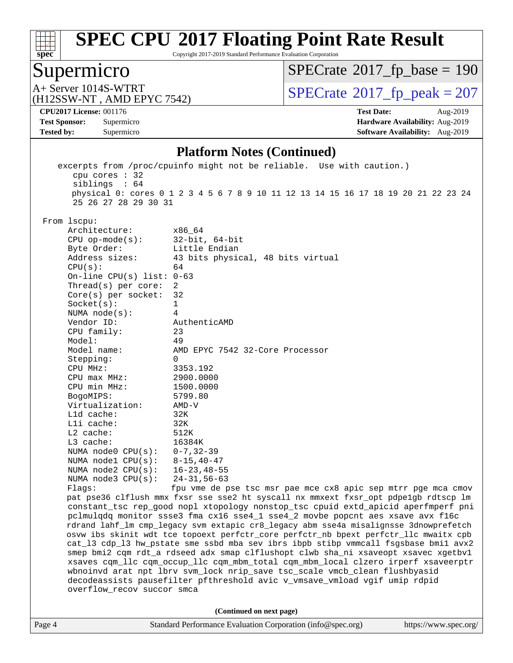

Copyright 2017-2019 Standard Performance Evaluation Corporation

# Supermicro

 $SPECrate$ <sup>®</sup>[2017\\_fp\\_base =](http://www.spec.org/auto/cpu2017/Docs/result-fields.html#SPECrate2017fpbase) 190

(H12SSW-NT , AMD EPYC 7542)

A+ Server 1014S-WTRT<br>
(H12SSW-NT, AMD EPYC 7542) [SPECrate](http://www.spec.org/auto/cpu2017/Docs/result-fields.html#SPECrate2017fppeak)®[2017\\_fp\\_peak = 2](http://www.spec.org/auto/cpu2017/Docs/result-fields.html#SPECrate2017fppeak)07

**[CPU2017 License:](http://www.spec.org/auto/cpu2017/Docs/result-fields.html#CPU2017License)** 001176 **[Test Date:](http://www.spec.org/auto/cpu2017/Docs/result-fields.html#TestDate)** Aug-2019

**[Test Sponsor:](http://www.spec.org/auto/cpu2017/Docs/result-fields.html#TestSponsor)** Supermicro **[Hardware Availability:](http://www.spec.org/auto/cpu2017/Docs/result-fields.html#HardwareAvailability)** Aug-2019 **[Tested by:](http://www.spec.org/auto/cpu2017/Docs/result-fields.html#Testedby)** Supermicro **Supermicro [Software Availability:](http://www.spec.org/auto/cpu2017/Docs/result-fields.html#SoftwareAvailability)** Aug-2019

#### **[Platform Notes \(Continued\)](http://www.spec.org/auto/cpu2017/Docs/result-fields.html#PlatformNotes)**

| Page 4 |                                 | Standard Performance Evaluation Corporation (info@spec.org)<br>https://www.spec.org/                                                                                      |
|--------|---------------------------------|---------------------------------------------------------------------------------------------------------------------------------------------------------------------------|
|        |                                 | (Continued on next page)                                                                                                                                                  |
|        |                                 |                                                                                                                                                                           |
|        | overflow_recov succor smca      |                                                                                                                                                                           |
|        |                                 | decodeassists pausefilter pfthreshold avic v_vmsave_vmload vgif umip rdpid                                                                                                |
|        |                                 | wbnoinvd arat npt lbrv svm_lock nrip_save tsc_scale vmcb_clean flushbyasid                                                                                                |
|        |                                 | xsaves cqm_llc cqm_occup_llc cqm_mbm_total cqm_mbm_local clzero irperf xsaveerptr                                                                                         |
|        |                                 | cat_13 cdp_13 hw_pstate sme ssbd mba sev ibrs ibpb stibp vmmcall fsgsbase bmil avx2<br>smep bmi2 cqm rdt_a rdseed adx smap clflushopt clwb sha_ni xsaveopt xsavec xgetbvl |
|        |                                 | osvw ibs skinit wdt tce topoext perfctr_core perfctr_nb bpext perfctr_llc mwaitx cpb                                                                                      |
|        |                                 | rdrand lahf_lm cmp_legacy svm extapic cr8_legacy abm sse4a misalignsse 3dnowprefetch                                                                                      |
|        |                                 | pclmulqdq monitor ssse3 fma cx16 sse4_1 sse4_2 movbe popcnt aes xsave avx f16c                                                                                            |
|        |                                 | constant_tsc rep_good nopl xtopology nonstop_tsc cpuid extd_apicid aperfmperf pni                                                                                         |
|        |                                 | pat pse36 clflush mmx fxsr sse sse2 ht syscall nx mmxext fxsr_opt pdpelgb rdtscp lm                                                                                       |
|        | Flags:                          | fpu vme de pse tsc msr pae mce cx8 apic sep mtrr pge mca cmov                                                                                                             |
|        | NUMA $node3$ $CPU(s):$          | 24-31,56-63                                                                                                                                                               |
|        | NUMA $node2$ $CPU(s):$          | 16-23,48-55                                                                                                                                                               |
|        | NUMA $node1$ $CPU(s):$          | $8 - 15, 40 - 47$                                                                                                                                                         |
|        | NUMA node0 $CPU(s): 0-7, 32-39$ |                                                                                                                                                                           |
|        | L3 cache:                       | 16384K                                                                                                                                                                    |
|        | L2 cache:                       | 512K                                                                                                                                                                      |
|        | Lli cache:                      | 32K                                                                                                                                                                       |
|        | L1d cache:                      | 32K                                                                                                                                                                       |
|        | Virtualization:                 | $AMD-V$                                                                                                                                                                   |
|        | BogoMIPS:                       | 5799.80                                                                                                                                                                   |
|        | CPU min MHz:                    | 1500.0000                                                                                                                                                                 |
|        | $CPU$ max $MHz$ :               | 2900.0000                                                                                                                                                                 |
|        | CPU MHz:                        | 3353.192                                                                                                                                                                  |
|        | Stepping:                       | $\Omega$                                                                                                                                                                  |
|        | Model name:                     | AMD EPYC 7542 32-Core Processor                                                                                                                                           |
|        | Model:                          | 49                                                                                                                                                                        |
|        | CPU family:                     | 23                                                                                                                                                                        |
|        | Vendor ID:                      | AuthenticAMD                                                                                                                                                              |
|        | NUMA $node(s):$                 | 4                                                                                                                                                                         |
|        | Socket(s):                      | 1                                                                                                                                                                         |
|        | $Core(s)$ per socket:           | 32                                                                                                                                                                        |
|        | Thread( $s$ ) per core:         | 2                                                                                                                                                                         |
|        | On-line CPU(s) list: $0-63$     |                                                                                                                                                                           |
|        | CPU(s):                         | 64                                                                                                                                                                        |
|        | Address sizes:                  | 43 bits physical, 48 bits virtual                                                                                                                                         |
|        | Byte Order:                     | Little Endian                                                                                                                                                             |
|        | $CPU$ op-mode( $s$ ):           | $32$ -bit, $64$ -bit                                                                                                                                                      |
|        | Architecture:                   | x86_64                                                                                                                                                                    |
|        | From lscpu:                     |                                                                                                                                                                           |
|        | 25 26 27 28 29 30 31            |                                                                                                                                                                           |
|        |                                 | physical 0: cores 0 1 2 3 4 5 6 7 8 9 10 11 12 13 14 15 16 17 18 19 20 21 22 23 24                                                                                        |
|        | siblings : 64                   |                                                                                                                                                                           |
|        | cpu cores $: 32$                |                                                                                                                                                                           |
|        |                                 |                                                                                                                                                                           |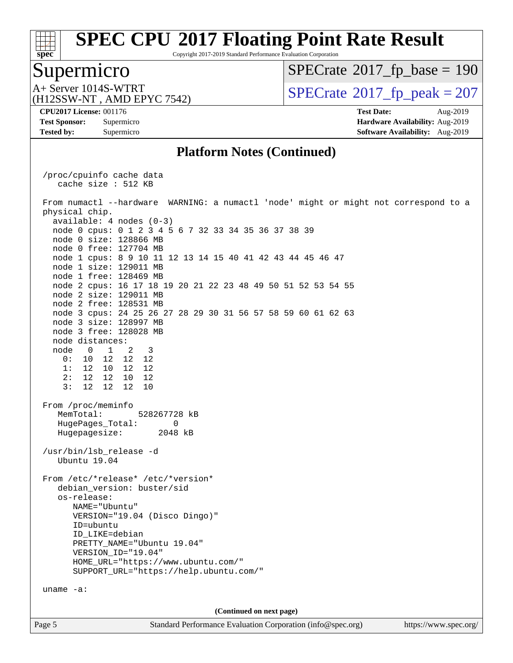

Copyright 2017-2019 Standard Performance Evaluation Corporation

### Supermicro

 $SPECTate$ <sup>®</sup>[2017\\_fp\\_base =](http://www.spec.org/auto/cpu2017/Docs/result-fields.html#SPECrate2017fpbase) 190

(H12SSW-NT , AMD EPYC 7542)

 $A+$  Server 1014S-WTRT  $\begin{array}{c|c}\n\text{SPECrate} \text{\textdegree}2017\_fp\_peak = 207\n\end{array}$  $\begin{array}{c|c}\n\text{SPECrate} \text{\textdegree}2017\_fp\_peak = 207\n\end{array}$  $\begin{array}{c|c}\n\text{SPECrate} \text{\textdegree}2017\_fp\_peak = 207\n\end{array}$ 

**[Tested by:](http://www.spec.org/auto/cpu2017/Docs/result-fields.html#Testedby)** Supermicro **Supermicro [Software Availability:](http://www.spec.org/auto/cpu2017/Docs/result-fields.html#SoftwareAvailability)** Aug-2019

**[CPU2017 License:](http://www.spec.org/auto/cpu2017/Docs/result-fields.html#CPU2017License)** 001176 **[Test Date:](http://www.spec.org/auto/cpu2017/Docs/result-fields.html#TestDate)** Aug-2019 **[Test Sponsor:](http://www.spec.org/auto/cpu2017/Docs/result-fields.html#TestSponsor)** Supermicro **[Hardware Availability:](http://www.spec.org/auto/cpu2017/Docs/result-fields.html#HardwareAvailability)** Aug-2019

#### **[Platform Notes \(Continued\)](http://www.spec.org/auto/cpu2017/Docs/result-fields.html#PlatformNotes)**

Page 5 Standard Performance Evaluation Corporation [\(info@spec.org\)](mailto:info@spec.org) <https://www.spec.org/> /proc/cpuinfo cache data cache size : 512 KB From numactl --hardware WARNING: a numactl 'node' might or might not correspond to a physical chip. available: 4 nodes (0-3) node 0 cpus: 0 1 2 3 4 5 6 7 32 33 34 35 36 37 38 39 node 0 size: 128866 MB node 0 free: 127704 MB node 1 cpus: 8 9 10 11 12 13 14 15 40 41 42 43 44 45 46 47 node 1 size: 129011 MB node 1 free: 128469 MB node 2 cpus: 16 17 18 19 20 21 22 23 48 49 50 51 52 53 54 55 node 2 size: 129011 MB node 2 free: 128531 MB node 3 cpus: 24 25 26 27 28 29 30 31 56 57 58 59 60 61 62 63 node 3 size: 128997 MB node 3 free: 128028 MB node distances: node 0 1 2 3 0: 10 12 12 12 1: 12 10 12 12 2: 12 12 10 12 3: 12 12 12 10 From /proc/meminfo MemTotal: 528267728 kB HugePages\_Total: 0 Hugepagesize: 2048 kB /usr/bin/lsb\_release -d Ubuntu 19.04 From /etc/\*release\* /etc/\*version\* debian version: buster/sid os-release: NAME="Ubuntu" VERSION="19.04 (Disco Dingo)" ID=ubuntu ID\_LIKE=debian PRETTY NAME="Ubuntu 19.04" VERSION\_ID="19.04" HOME\_URL="<https://www.ubuntu.com/"> SUPPORT\_URL="<https://help.ubuntu.com/"> uname -a: **(Continued on next page)**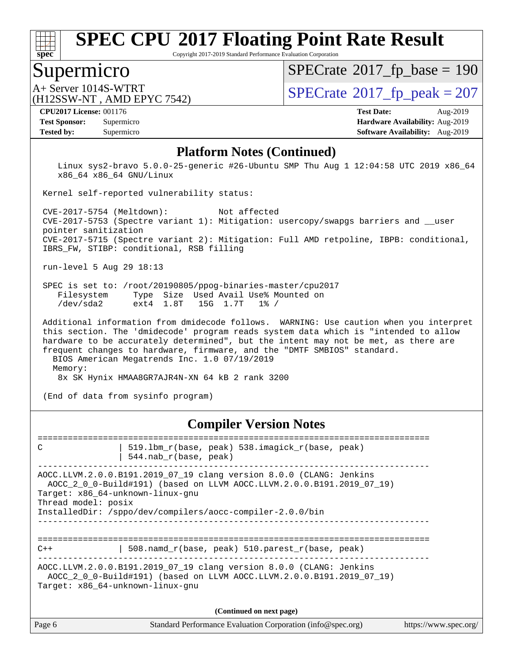

Copyright 2017-2019 Standard Performance Evaluation Corporation

### Supermicro

 $SPECTate$ <sup>®</sup>[2017\\_fp\\_base =](http://www.spec.org/auto/cpu2017/Docs/result-fields.html#SPECrate2017fpbase) 190

(H12SSW-NT , AMD EPYC 7542)

 $A+$  Server 1014S-WTRT  $\begin{array}{c|c}\n\text{SPECrate} \text{\textdegree}2017\_fp\_peak = 207\n\end{array}$  $\begin{array}{c|c}\n\text{SPECrate} \text{\textdegree}2017\_fp\_peak = 207\n\end{array}$  $\begin{array}{c|c}\n\text{SPECrate} \text{\textdegree}2017\_fp\_peak = 207\n\end{array}$ 

**[Tested by:](http://www.spec.org/auto/cpu2017/Docs/result-fields.html#Testedby)** Supermicro **Supermicro [Software Availability:](http://www.spec.org/auto/cpu2017/Docs/result-fields.html#SoftwareAvailability)** Aug-2019

**[CPU2017 License:](http://www.spec.org/auto/cpu2017/Docs/result-fields.html#CPU2017License)** 001176 **[Test Date:](http://www.spec.org/auto/cpu2017/Docs/result-fields.html#TestDate)** Aug-2019 **[Test Sponsor:](http://www.spec.org/auto/cpu2017/Docs/result-fields.html#TestSponsor)** Supermicro **[Hardware Availability:](http://www.spec.org/auto/cpu2017/Docs/result-fields.html#HardwareAvailability)** Aug-2019

#### **[Platform Notes \(Continued\)](http://www.spec.org/auto/cpu2017/Docs/result-fields.html#PlatformNotes)**

 Linux sys2-bravo 5.0.0-25-generic #26-Ubuntu SMP Thu Aug 1 12:04:58 UTC 2019 x86\_64 x86\_64 x86\_64 GNU/Linux

Kernel self-reported vulnerability status:

 CVE-2017-5754 (Meltdown): Not affected CVE-2017-5753 (Spectre variant 1): Mitigation: usercopy/swapgs barriers and \_\_user pointer sanitization CVE-2017-5715 (Spectre variant 2): Mitigation: Full AMD retpoline, IBPB: conditional, IBRS\_FW, STIBP: conditional, RSB filling

run-level 5 Aug 29 18:13

 SPEC is set to: /root/20190805/ppog-binaries-master/cpu2017 Filesystem Type Size Used Avail Use% Mounted on<br>
/dev/sda2 ext4 1.8T 15G 1.7T 1% / /dev/sda2 ext4 1.8T 15G 1.7T 1% /

 Additional information from dmidecode follows. WARNING: Use caution when you interpret this section. The 'dmidecode' program reads system data which is "intended to allow hardware to be accurately determined", but the intent may not be met, as there are frequent changes to hardware, firmware, and the "DMTF SMBIOS" standard. BIOS American Megatrends Inc. 1.0 07/19/2019 Memory:

8x SK Hynix HMAA8GR7AJR4N-XN 64 kB 2 rank 3200

(End of data from sysinfo program)

#### **[Compiler Version Notes](http://www.spec.org/auto/cpu2017/Docs/result-fields.html#CompilerVersionNotes)**

============================================================================== C | 519.1bm\_r(base, peak) 538.imagick\_r(base, peak) | 544.nab\_r(base, peak) ------------------------------------------------------------------------------ AOCC.LLVM.2.0.0.B191.2019\_07\_19 clang version 8.0.0 (CLANG: Jenkins AOCC\_2\_0\_0-Build#191) (based on LLVM AOCC.LLVM.2.0.0.B191.2019\_07\_19) Target: x86\_64-unknown-linux-gnu Thread model: posix InstalledDir: /sppo/dev/compilers/aocc-compiler-2.0.0/bin ------------------------------------------------------------------------------ ==============================================================================  $C++$  | 508.namd\_r(base, peak) 510.parest\_r(base, peak) ------------------------------------------------------------------------------ AOCC.LLVM.2.0.0.B191.2019\_07\_19 clang version 8.0.0 (CLANG: Jenkins AOCC\_2\_0\_0-Build#191) (based on LLVM AOCC.LLVM.2.0.0.B191.2019\_07\_19) Target: x86\_64-unknown-linux-gnu

| Page 6 | Standard Performance Evaluation Corporation (info@spec.org) | https://www.spec.org/ |
|--------|-------------------------------------------------------------|-----------------------|
|--------|-------------------------------------------------------------|-----------------------|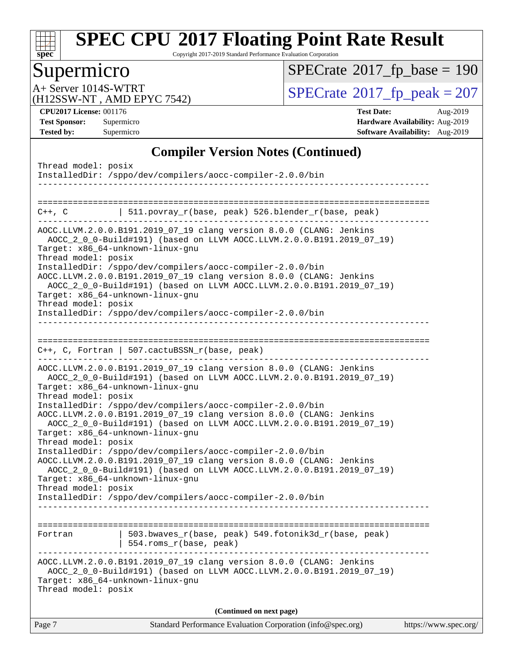

Copyright 2017-2019 Standard Performance Evaluation Corporation

# Supermicro

 $SPECrate$ <sup>®</sup>[2017\\_fp\\_base =](http://www.spec.org/auto/cpu2017/Docs/result-fields.html#SPECrate2017fpbase) 190

(H12SSW-NT , AMD EPYC 7542)

A+ Server 1014S-WTRT<br>
(H12SSW-NT, AMD EPYC 7542) [SPECrate](http://www.spec.org/auto/cpu2017/Docs/result-fields.html#SPECrate2017fppeak)®[2017\\_fp\\_peak = 2](http://www.spec.org/auto/cpu2017/Docs/result-fields.html#SPECrate2017fppeak)07

**[CPU2017 License:](http://www.spec.org/auto/cpu2017/Docs/result-fields.html#CPU2017License)** 001176 **[Test Date:](http://www.spec.org/auto/cpu2017/Docs/result-fields.html#TestDate)** Aug-2019 **[Test Sponsor:](http://www.spec.org/auto/cpu2017/Docs/result-fields.html#TestSponsor)** Supermicro **[Hardware Availability:](http://www.spec.org/auto/cpu2017/Docs/result-fields.html#HardwareAvailability)** Aug-2019 **[Tested by:](http://www.spec.org/auto/cpu2017/Docs/result-fields.html#Testedby)** Supermicro **Supermicro [Software Availability:](http://www.spec.org/auto/cpu2017/Docs/result-fields.html#SoftwareAvailability)** Aug-2019

#### **[Compiler Version Notes \(Continued\)](http://www.spec.org/auto/cpu2017/Docs/result-fields.html#CompilerVersionNotes)**

| Standard Performance Evaluation Corporation (info@spec.org)<br>Page 7                                                                                                                                   | https://www.spec.org/ |
|---------------------------------------------------------------------------------------------------------------------------------------------------------------------------------------------------------|-----------------------|
| (Continued on next page)                                                                                                                                                                                |                       |
| AOCC.LLVM.2.0.0.B191.2019_07_19 clang version 8.0.0 (CLANG: Jenkins<br>AOCC_2_0_0-Build#191) (based on LLVM AOCC.LLVM.2.0.0.B191.2019_07_19)<br>Target: x86_64-unknown-linux-gnu<br>Thread model: posix |                       |
| 503.bwaves_r(base, peak) 549.fotonik3d_r(base, peak)<br>Fortran<br>554.roms_r(base, peak)                                                                                                               |                       |
|                                                                                                                                                                                                         |                       |
| Target: x86_64-unknown-linux-gnu<br>Thread model: posix<br>InstalledDir: /sppo/dev/compilers/aocc-compiler-2.0.0/bin                                                                                    |                       |
| AOCC.LLVM.2.0.0.B191.2019_07_19 clang version 8.0.0 (CLANG: Jenkins<br>AOCC_2_0_0-Build#191) (based on LLVM AOCC.LLVM.2.0.0.B191.2019_07_19)                                                            |                       |
| InstalledDir: /sppo/dev/compilers/aocc-compiler-2.0.0/bin                                                                                                                                               |                       |
| AOCC.LLVM.2.0.0.B191.2019_07_19 clang version 8.0.0 (CLANG: Jenkins<br>AOCC_2_0_0-Build#191) (based on LLVM AOCC.LLVM.2.0.0.B191.2019_07_19)<br>Target: x86_64-unknown-linux-gnu<br>Thread model: posix |                       |
| Thread model: posix<br>InstalledDir: /sppo/dev/compilers/aocc-compiler-2.0.0/bin                                                                                                                        |                       |
| AOCC_2_0_0-Build#191) (based on LLVM AOCC.LLVM.2.0.0.B191.2019_07_19)<br>Target: x86_64-unknown-linux-gnu                                                                                               |                       |
| AOCC.LLVM.2.0.0.B191.2019_07_19 clang version 8.0.0 (CLANG: Jenkins                                                                                                                                     |                       |
| $C++$ , C, Fortran   507.cactuBSSN_r(base, peak)                                                                                                                                                        |                       |
| InstalledDir: /sppo/dev/compilers/aocc-compiler-2.0.0/bin                                                                                                                                               |                       |
| AOCC_2_0_0-Build#191) (based on LLVM AOCC.LLVM.2.0.0.B191.2019_07_19)<br>Target: x86_64-unknown-linux-gnu<br>Thread model: posix                                                                        |                       |
| InstalledDir: /sppo/dev/compilers/aocc-compiler-2.0.0/bin<br>AOCC.LLVM.2.0.0.B191.2019_07_19 clang version 8.0.0 (CLANG: Jenkins                                                                        |                       |
| AOCC_2_0_0-Build#191) (based on LLVM AOCC.LLVM.2.0.0.B191.2019_07_19)<br>Target: x86_64-unknown-linux-gnu<br>Thread model: posix                                                                        |                       |
| AOCC.LLVM.2.0.0.B191.2019_07_19 clang version 8.0.0 (CLANG: Jenkins                                                                                                                                     |                       |
| C++, C   511.povray_r(base, peak) 526.blender_r(base, peak)                                                                                                                                             |                       |
| InstalledDir: /sppo/dev/compilers/aocc-compiler-2.0.0/bin                                                                                                                                               |                       |
| Thread model: posix                                                                                                                                                                                     |                       |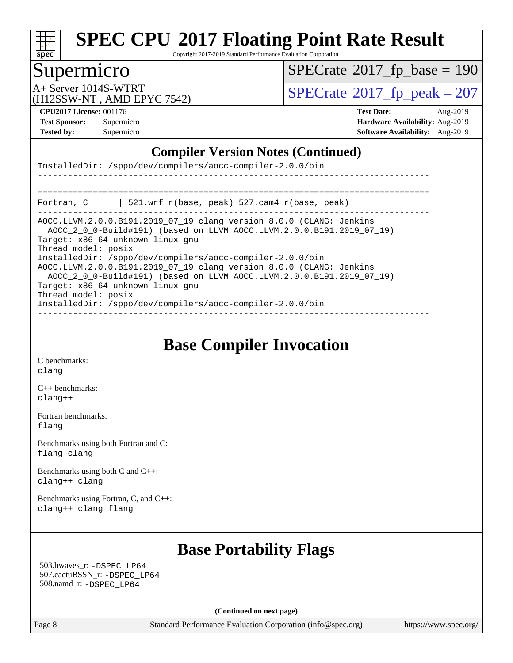

Copyright 2017-2019 Standard Performance Evaluation Corporation

### Supermicro

 $SPECrate$ <sup>®</sup>[2017\\_fp\\_base =](http://www.spec.org/auto/cpu2017/Docs/result-fields.html#SPECrate2017fpbase) 190

(H12SSW-NT , AMD EPYC 7542)

A+ Server 1014S-WTRT<br>
(H12SSW-NT AMD EPYC 7542) [SPECrate](http://www.spec.org/auto/cpu2017/Docs/result-fields.html#SPECrate2017fppeak)®[2017\\_fp\\_peak = 2](http://www.spec.org/auto/cpu2017/Docs/result-fields.html#SPECrate2017fppeak)07

**[CPU2017 License:](http://www.spec.org/auto/cpu2017/Docs/result-fields.html#CPU2017License)** 001176 **[Test Date:](http://www.spec.org/auto/cpu2017/Docs/result-fields.html#TestDate)** Aug-2019 **[Test Sponsor:](http://www.spec.org/auto/cpu2017/Docs/result-fields.html#TestSponsor)** Supermicro **[Hardware Availability:](http://www.spec.org/auto/cpu2017/Docs/result-fields.html#HardwareAvailability)** Aug-2019 **[Tested by:](http://www.spec.org/auto/cpu2017/Docs/result-fields.html#Testedby)** Supermicro **Supermicro [Software Availability:](http://www.spec.org/auto/cpu2017/Docs/result-fields.html#SoftwareAvailability)** Aug-2019

#### **[Compiler Version Notes \(Continued\)](http://www.spec.org/auto/cpu2017/Docs/result-fields.html#CompilerVersionNotes)**

|                                            | InstalledDir: /sppo/dev/compilers/aocc-compiler-2.0.0/bin                                                                                                                                                                                                                                                                                                                                                                                                                                      |
|--------------------------------------------|------------------------------------------------------------------------------------------------------------------------------------------------------------------------------------------------------------------------------------------------------------------------------------------------------------------------------------------------------------------------------------------------------------------------------------------------------------------------------------------------|
|                                            |                                                                                                                                                                                                                                                                                                                                                                                                                                                                                                |
|                                            |                                                                                                                                                                                                                                                                                                                                                                                                                                                                                                |
| Fortran, C                                 | 521.wrf $r(base, peak)$ 527.cam4 $r(base, peak)$                                                                                                                                                                                                                                                                                                                                                                                                                                               |
| Thread model: posix<br>Thread model: posix | AOCC.LLVM.2.0.0.B191.2019 07 19 clang version 8.0.0 (CLANG: Jenkins<br>AOCC 2 0 0-Build#191) (based on LLVM AOCC.LLVM.2.0.0.B191.2019 07 19)<br>Target: x86 64-unknown-linux-gnu<br>InstalledDir: /sppo/dev/compilers/aocc-compiler-2.0.0/bin<br>AOCC.LLVM.2.0.0.B191.2019 07 19 clang version 8.0.0 (CLANG: Jenkins<br>AOCC_2_0_0-Build#191) (based on LLVM AOCC.LLVM.2.0.0.B191.2019_07_19)<br>Target: x86 64-unknown-linux-gnu<br>InstalledDir: /sppo/dev/compilers/aocc-compiler-2.0.0/bin |

**[Base Compiler Invocation](http://www.spec.org/auto/cpu2017/Docs/result-fields.html#BaseCompilerInvocation)**

[C benchmarks](http://www.spec.org/auto/cpu2017/Docs/result-fields.html#Cbenchmarks): [clang](http://www.spec.org/cpu2017/results/res2019q3/cpu2017-20190902-17506.flags.html#user_CCbase_clang-c)

[C++ benchmarks:](http://www.spec.org/auto/cpu2017/Docs/result-fields.html#CXXbenchmarks) [clang++](http://www.spec.org/cpu2017/results/res2019q3/cpu2017-20190902-17506.flags.html#user_CXXbase_clang-cpp)

[Fortran benchmarks](http://www.spec.org/auto/cpu2017/Docs/result-fields.html#Fortranbenchmarks): [flang](http://www.spec.org/cpu2017/results/res2019q3/cpu2017-20190902-17506.flags.html#user_FCbase_flang)

[Benchmarks using both Fortran and C](http://www.spec.org/auto/cpu2017/Docs/result-fields.html#BenchmarksusingbothFortranandC): [flang](http://www.spec.org/cpu2017/results/res2019q3/cpu2017-20190902-17506.flags.html#user_CC_FCbase_flang) [clang](http://www.spec.org/cpu2017/results/res2019q3/cpu2017-20190902-17506.flags.html#user_CC_FCbase_clang-c)

[Benchmarks using both C and C++](http://www.spec.org/auto/cpu2017/Docs/result-fields.html#BenchmarksusingbothCandCXX): [clang++](http://www.spec.org/cpu2017/results/res2019q3/cpu2017-20190902-17506.flags.html#user_CC_CXXbase_clang-cpp) [clang](http://www.spec.org/cpu2017/results/res2019q3/cpu2017-20190902-17506.flags.html#user_CC_CXXbase_clang-c)

[Benchmarks using Fortran, C, and C++:](http://www.spec.org/auto/cpu2017/Docs/result-fields.html#BenchmarksusingFortranCandCXX) [clang++](http://www.spec.org/cpu2017/results/res2019q3/cpu2017-20190902-17506.flags.html#user_CC_CXX_FCbase_clang-cpp) [clang](http://www.spec.org/cpu2017/results/res2019q3/cpu2017-20190902-17506.flags.html#user_CC_CXX_FCbase_clang-c) [flang](http://www.spec.org/cpu2017/results/res2019q3/cpu2017-20190902-17506.flags.html#user_CC_CXX_FCbase_flang)

### **[Base Portability Flags](http://www.spec.org/auto/cpu2017/Docs/result-fields.html#BasePortabilityFlags)**

 503.bwaves\_r: [-DSPEC\\_LP64](http://www.spec.org/cpu2017/results/res2019q3/cpu2017-20190902-17506.flags.html#suite_baseEXTRA_PORTABILITY503_bwaves_r_DSPEC_LP64) 507.cactuBSSN\_r: [-DSPEC\\_LP64](http://www.spec.org/cpu2017/results/res2019q3/cpu2017-20190902-17506.flags.html#suite_baseEXTRA_PORTABILITY507_cactuBSSN_r_DSPEC_LP64) 508.namd\_r: [-DSPEC\\_LP64](http://www.spec.org/cpu2017/results/res2019q3/cpu2017-20190902-17506.flags.html#suite_baseEXTRA_PORTABILITY508_namd_r_DSPEC_LP64)

**(Continued on next page)**

Page 8 Standard Performance Evaluation Corporation [\(info@spec.org\)](mailto:info@spec.org) <https://www.spec.org/>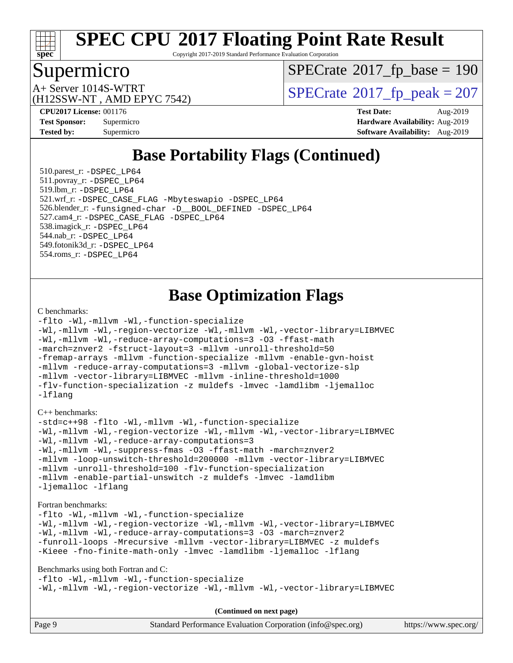

Copyright 2017-2019 Standard Performance Evaluation Corporation

### Supermicro

 $SPECTate$ <sup>®</sup>[2017\\_fp\\_base =](http://www.spec.org/auto/cpu2017/Docs/result-fields.html#SPECrate2017fpbase) 190

(H12SSW-NT , AMD EPYC 7542)

 $A+$  Server 1014S-WTRT  $\begin{array}{c|c}\n\text{SPECrate} \text{\textdegree}2017\_fp\_peak = 207\n\end{array}$  $\begin{array}{c|c}\n\text{SPECrate} \text{\textdegree}2017\_fp\_peak = 207\n\end{array}$  $\begin{array}{c|c}\n\text{SPECrate} \text{\textdegree}2017\_fp\_peak = 207\n\end{array}$ 

**[CPU2017 License:](http://www.spec.org/auto/cpu2017/Docs/result-fields.html#CPU2017License)** 001176 **[Test Date:](http://www.spec.org/auto/cpu2017/Docs/result-fields.html#TestDate)** Aug-2019 **[Test Sponsor:](http://www.spec.org/auto/cpu2017/Docs/result-fields.html#TestSponsor)** Supermicro **[Hardware Availability:](http://www.spec.org/auto/cpu2017/Docs/result-fields.html#HardwareAvailability)** Aug-2019 **[Tested by:](http://www.spec.org/auto/cpu2017/Docs/result-fields.html#Testedby)** Supermicro **Supermicro [Software Availability:](http://www.spec.org/auto/cpu2017/Docs/result-fields.html#SoftwareAvailability)** Aug-2019

# **[Base Portability Flags \(Continued\)](http://www.spec.org/auto/cpu2017/Docs/result-fields.html#BasePortabilityFlags)**

 510.parest\_r: [-DSPEC\\_LP64](http://www.spec.org/cpu2017/results/res2019q3/cpu2017-20190902-17506.flags.html#suite_baseEXTRA_PORTABILITY510_parest_r_DSPEC_LP64) 511.povray\_r: [-DSPEC\\_LP64](http://www.spec.org/cpu2017/results/res2019q3/cpu2017-20190902-17506.flags.html#suite_baseEXTRA_PORTABILITY511_povray_r_DSPEC_LP64) 519.lbm\_r: [-DSPEC\\_LP64](http://www.spec.org/cpu2017/results/res2019q3/cpu2017-20190902-17506.flags.html#suite_baseEXTRA_PORTABILITY519_lbm_r_DSPEC_LP64) 521.wrf\_r: [-DSPEC\\_CASE\\_FLAG](http://www.spec.org/cpu2017/results/res2019q3/cpu2017-20190902-17506.flags.html#b521.wrf_r_baseCPORTABILITY_DSPEC_CASE_FLAG) [-Mbyteswapio](http://www.spec.org/cpu2017/results/res2019q3/cpu2017-20190902-17506.flags.html#user_baseFPORTABILITY521_wrf_r_F-mbyteswapio_543c39ce38db59bcbc3b888917ef58c313007ae1c27520b689e012995ae261114051d1d5efcb4182d175ce22a6a15532d3a9999882dd2c360e6d853f41da6883) [-DSPEC\\_LP64](http://www.spec.org/cpu2017/results/res2019q3/cpu2017-20190902-17506.flags.html#suite_baseEXTRA_PORTABILITY521_wrf_r_DSPEC_LP64) 526.blender\_r: [-funsigned-char](http://www.spec.org/cpu2017/results/res2019q3/cpu2017-20190902-17506.flags.html#user_baseCPORTABILITY526_blender_r_aocc-unsigned-char) [-D\\_\\_BOOL\\_DEFINED](http://www.spec.org/cpu2017/results/res2019q3/cpu2017-20190902-17506.flags.html#b526.blender_r_baseCXXPORTABILITY_D__BOOL_DEFINED) [-DSPEC\\_LP64](http://www.spec.org/cpu2017/results/res2019q3/cpu2017-20190902-17506.flags.html#suite_baseEXTRA_PORTABILITY526_blender_r_DSPEC_LP64) 527.cam4\_r: [-DSPEC\\_CASE\\_FLAG](http://www.spec.org/cpu2017/results/res2019q3/cpu2017-20190902-17506.flags.html#b527.cam4_r_basePORTABILITY_DSPEC_CASE_FLAG) [-DSPEC\\_LP64](http://www.spec.org/cpu2017/results/res2019q3/cpu2017-20190902-17506.flags.html#suite_baseEXTRA_PORTABILITY527_cam4_r_DSPEC_LP64) 538.imagick\_r: [-DSPEC\\_LP64](http://www.spec.org/cpu2017/results/res2019q3/cpu2017-20190902-17506.flags.html#suite_baseEXTRA_PORTABILITY538_imagick_r_DSPEC_LP64) 544.nab\_r: [-DSPEC\\_LP64](http://www.spec.org/cpu2017/results/res2019q3/cpu2017-20190902-17506.flags.html#suite_baseEXTRA_PORTABILITY544_nab_r_DSPEC_LP64) 549.fotonik3d\_r: [-DSPEC\\_LP64](http://www.spec.org/cpu2017/results/res2019q3/cpu2017-20190902-17506.flags.html#suite_baseEXTRA_PORTABILITY549_fotonik3d_r_DSPEC_LP64) 554.roms\_r: [-DSPEC\\_LP64](http://www.spec.org/cpu2017/results/res2019q3/cpu2017-20190902-17506.flags.html#suite_baseEXTRA_PORTABILITY554_roms_r_DSPEC_LP64)

# **[Base Optimization Flags](http://www.spec.org/auto/cpu2017/Docs/result-fields.html#BaseOptimizationFlags)**

#### [C benchmarks](http://www.spec.org/auto/cpu2017/Docs/result-fields.html#Cbenchmarks):

```
-flto -Wl,-mllvm -Wl,-function-specialize
-Wl,-mllvm -Wl,-region-vectorize -Wl,-mllvm -Wl,-vector-library=LIBMVEC
-Wl,-mllvm -Wl,-reduce-array-computations=3 -O3 -ffast-math
-march=znver2 -fstruct-layout=3 -mllvm -unroll-threshold=50
-fremap-arrays -mllvm -function-specialize -mllvm -enable-gvn-hoist
-mllvm -reduce-array-computations=3 -mllvm -global-vectorize-slp
-mllvm -vector-library=LIBMVEC -mllvm -inline-threshold=1000
-flv-function-specialization -z muldefs -lmvec -lamdlibm -ljemalloc
-lflang
```
#### [C++ benchmarks:](http://www.spec.org/auto/cpu2017/Docs/result-fields.html#CXXbenchmarks)

[-std=c++98](http://www.spec.org/cpu2017/results/res2019q3/cpu2017-20190902-17506.flags.html#user_CXXbase_std-cpp) [-flto](http://www.spec.org/cpu2017/results/res2019q3/cpu2017-20190902-17506.flags.html#user_CXXbase_aocc-flto) [-Wl,-mllvm -Wl,-function-specialize](http://www.spec.org/cpu2017/results/res2019q3/cpu2017-20190902-17506.flags.html#user_CXXbase_F-function-specialize_7e7e661e57922243ee67c9a1251cb8910e607325179a0ce7f2884e09a6f5d4a5ef0ae4f37e8a2a11c95fc48e931f06dc2b6016f14b511fcb441e048bef1b065a) [-Wl,-mllvm -Wl,-region-vectorize](http://www.spec.org/cpu2017/results/res2019q3/cpu2017-20190902-17506.flags.html#user_CXXbase_F-region-vectorize_fb6c6b5aa293c88efc6c7c2b52b20755e943585b1fe8658c35afef78727fff56e1a56891413c30e36b8e2a6f9a71126986319243e80eb6110b78b288f533c52b) [-Wl,-mllvm -Wl,-vector-library=LIBMVEC](http://www.spec.org/cpu2017/results/res2019q3/cpu2017-20190902-17506.flags.html#user_CXXbase_F-use-vector-library_0a14b27fae317f283640384a31f7bfcc2bd4c1d0b5cfc618a3a430800c9b20217b00f61303eff223a3251b4f06ffbc9739dc5296db9d1fbb9ad24a3939d86d66) [-Wl,-mllvm -Wl,-reduce-array-computations=3](http://www.spec.org/cpu2017/results/res2019q3/cpu2017-20190902-17506.flags.html#user_CXXbase_F-reduce-array-computations_b882aefe7a5dda4e33149f6299762b9a720dace3e498e13756f4c04e5a19edf5315c1f3993de2e61ec41e8c206231f84e05da7040e1bb5d69ba27d10a12507e4) [-Wl,-mllvm -Wl,-suppress-fmas](http://www.spec.org/cpu2017/results/res2019q3/cpu2017-20190902-17506.flags.html#user_CXXbase_F-suppress-fmas_f00f00630e4a059e8af9c161e9bbf420bcf19890a7f99d5933525e66aa4b0bb3ab2339d2b12d97d3a5f5d271e839fe9c109938e91fe06230fb53651590cfa1e8) [-O3](http://www.spec.org/cpu2017/results/res2019q3/cpu2017-20190902-17506.flags.html#user_CXXbase_F-O3) [-ffast-math](http://www.spec.org/cpu2017/results/res2019q3/cpu2017-20190902-17506.flags.html#user_CXXbase_aocc-ffast-math) [-march=znver2](http://www.spec.org/cpu2017/results/res2019q3/cpu2017-20190902-17506.flags.html#user_CXXbase_aocc-march_3e2e19cff2eeef60c5d90b059483627c9ea47eca6d66670dbd53f9185f6439e27eb5e104cf773e9e8ab18c8842ce63e461a3e948d0214bd567ef3ade411bf467) [-mllvm -loop-unswitch-threshold=200000](http://www.spec.org/cpu2017/results/res2019q3/cpu2017-20190902-17506.flags.html#user_CXXbase_F-loop-unswitch-threshold_f9a82ae3270e55b5fbf79d0d96ee93606b73edbbe527d20b18b7bff1a3a146ad50cfc7454c5297978340ae9213029016a7d16221274d672d3f7f42ed25274e1d) [-mllvm -vector-library=LIBMVEC](http://www.spec.org/cpu2017/results/res2019q3/cpu2017-20190902-17506.flags.html#user_CXXbase_F-use-vector-library_e584e20b4f7ec96aa109254b65d8e01d864f3d68580371b9d93ed7c338191d4cfce20c3c864632264effc6bbe4c7c38153d02096a342ee92501c4a53204a7871) [-mllvm -unroll-threshold=100](http://www.spec.org/cpu2017/results/res2019q3/cpu2017-20190902-17506.flags.html#user_CXXbase_F-unroll-threshold_2755d0c78138845d361fa1543e3a063fffa198df9b3edf0cfb856bbc88a81e1769b12ac7a550c5d35197be55360db1a3f95a8d1304df999456cabf5120c45168) [-flv-function-specialization](http://www.spec.org/cpu2017/results/res2019q3/cpu2017-20190902-17506.flags.html#user_CXXbase_F-flv-function-specialization) [-mllvm -enable-partial-unswitch](http://www.spec.org/cpu2017/results/res2019q3/cpu2017-20190902-17506.flags.html#user_CXXbase_F-enable-partial-unswitch_6e1c33f981d77963b1eaf834973128a7f33ce3f8e27f54689656697a35e89dcc875281e0e6283d043e32f367dcb605ba0e307a92e830f7e326789fa6c61b35d3) [-z muldefs](http://www.spec.org/cpu2017/results/res2019q3/cpu2017-20190902-17506.flags.html#user_CXXbase_aocc-muldefs) [-lmvec](http://www.spec.org/cpu2017/results/res2019q3/cpu2017-20190902-17506.flags.html#user_CXXbase_F-lmvec) [-lamdlibm](http://www.spec.org/cpu2017/results/res2019q3/cpu2017-20190902-17506.flags.html#user_CXXbase_F-lamdlibm) [-ljemalloc](http://www.spec.org/cpu2017/results/res2019q3/cpu2017-20190902-17506.flags.html#user_CXXbase_jemalloc-lib) [-lflang](http://www.spec.org/cpu2017/results/res2019q3/cpu2017-20190902-17506.flags.html#user_CXXbase_F-lflang)

#### [Fortran benchmarks](http://www.spec.org/auto/cpu2017/Docs/result-fields.html#Fortranbenchmarks):

```
-flto -Wl,-mllvm -Wl,-function-specialize
-Wl,-mllvm -Wl,-region-vectorize -Wl,-mllvm -Wl,-vector-library=LIBMVEC
-Wl,-mllvm -Wl,-reduce-array-computations=3 -O3 -march=znver2
-funroll-loops -Mrecursive -mllvm -vector-library=LIBMVEC -z muldefs
-Kieee -fno-finite-math-only -lmvec -lamdlibm -ljemalloc -lflang
```
[Benchmarks using both Fortran and C](http://www.spec.org/auto/cpu2017/Docs/result-fields.html#BenchmarksusingbothFortranandC):

[-flto](http://www.spec.org/cpu2017/results/res2019q3/cpu2017-20190902-17506.flags.html#user_CC_FCbase_aocc-flto) [-Wl,-mllvm -Wl,-function-specialize](http://www.spec.org/cpu2017/results/res2019q3/cpu2017-20190902-17506.flags.html#user_CC_FCbase_F-function-specialize_7e7e661e57922243ee67c9a1251cb8910e607325179a0ce7f2884e09a6f5d4a5ef0ae4f37e8a2a11c95fc48e931f06dc2b6016f14b511fcb441e048bef1b065a) [-Wl,-mllvm -Wl,-region-vectorize](http://www.spec.org/cpu2017/results/res2019q3/cpu2017-20190902-17506.flags.html#user_CC_FCbase_F-region-vectorize_fb6c6b5aa293c88efc6c7c2b52b20755e943585b1fe8658c35afef78727fff56e1a56891413c30e36b8e2a6f9a71126986319243e80eb6110b78b288f533c52b) [-Wl,-mllvm -Wl,-vector-library=LIBMVEC](http://www.spec.org/cpu2017/results/res2019q3/cpu2017-20190902-17506.flags.html#user_CC_FCbase_F-use-vector-library_0a14b27fae317f283640384a31f7bfcc2bd4c1d0b5cfc618a3a430800c9b20217b00f61303eff223a3251b4f06ffbc9739dc5296db9d1fbb9ad24a3939d86d66)

| Page 9<br>Standard Performance Evaluation Corporation (info@spec.org)<br>https://www.spec.org/ |
|------------------------------------------------------------------------------------------------|
|------------------------------------------------------------------------------------------------|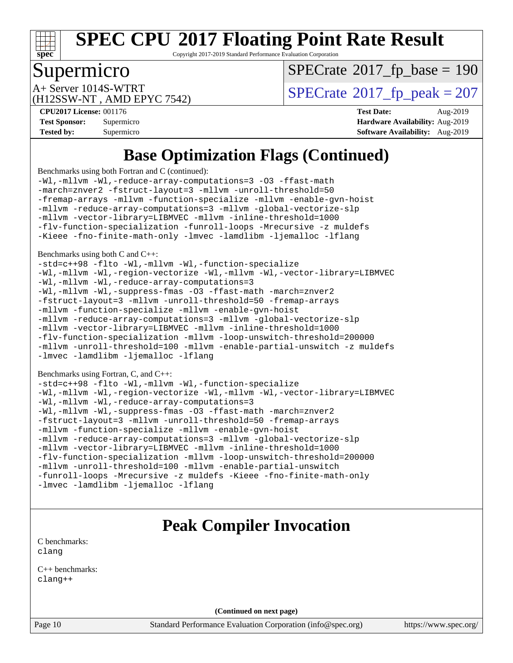

Copyright 2017-2019 Standard Performance Evaluation Corporation

# Supermicro

 $SPECTate$ <sup>®</sup>[2017\\_fp\\_base =](http://www.spec.org/auto/cpu2017/Docs/result-fields.html#SPECrate2017fpbase) 190

(H12SSW-NT , AMD EPYC 7542)

 $A+$  Server 1014S-WTRT  $\begin{array}{c|c}\n\text{SPECrate} \text{\textdegree}2017\_fp\_peak = 207\n\end{array}$  $\begin{array}{c|c}\n\text{SPECrate} \text{\textdegree}2017\_fp\_peak = 207\n\end{array}$  $\begin{array}{c|c}\n\text{SPECrate} \text{\textdegree}2017\_fp\_peak = 207\n\end{array}$ 

**[Tested by:](http://www.spec.org/auto/cpu2017/Docs/result-fields.html#Testedby)** Supermicro **[Software Availability:](http://www.spec.org/auto/cpu2017/Docs/result-fields.html#SoftwareAvailability)** Aug-2019

**[CPU2017 License:](http://www.spec.org/auto/cpu2017/Docs/result-fields.html#CPU2017License)** 001176 **[Test Date:](http://www.spec.org/auto/cpu2017/Docs/result-fields.html#TestDate)** Aug-2019 **[Test Sponsor:](http://www.spec.org/auto/cpu2017/Docs/result-fields.html#TestSponsor)** Supermicro **[Hardware Availability:](http://www.spec.org/auto/cpu2017/Docs/result-fields.html#HardwareAvailability)** Aug-2019

# **[Base Optimization Flags \(Continued\)](http://www.spec.org/auto/cpu2017/Docs/result-fields.html#BaseOptimizationFlags)**

[Benchmarks using both Fortran and C](http://www.spec.org/auto/cpu2017/Docs/result-fields.html#BenchmarksusingbothFortranandC) (continued):

[-Wl,-mllvm -Wl,-reduce-array-computations=3](http://www.spec.org/cpu2017/results/res2019q3/cpu2017-20190902-17506.flags.html#user_CC_FCbase_F-reduce-array-computations_b882aefe7a5dda4e33149f6299762b9a720dace3e498e13756f4c04e5a19edf5315c1f3993de2e61ec41e8c206231f84e05da7040e1bb5d69ba27d10a12507e4) [-O3](http://www.spec.org/cpu2017/results/res2019q3/cpu2017-20190902-17506.flags.html#user_CC_FCbase_F-O3) [-ffast-math](http://www.spec.org/cpu2017/results/res2019q3/cpu2017-20190902-17506.flags.html#user_CC_FCbase_aocc-ffast-math) [-march=znver2](http://www.spec.org/cpu2017/results/res2019q3/cpu2017-20190902-17506.flags.html#user_CC_FCbase_aocc-march_3e2e19cff2eeef60c5d90b059483627c9ea47eca6d66670dbd53f9185f6439e27eb5e104cf773e9e8ab18c8842ce63e461a3e948d0214bd567ef3ade411bf467) [-fstruct-layout=3](http://www.spec.org/cpu2017/results/res2019q3/cpu2017-20190902-17506.flags.html#user_CC_FCbase_F-struct-layout) [-mllvm -unroll-threshold=50](http://www.spec.org/cpu2017/results/res2019q3/cpu2017-20190902-17506.flags.html#user_CC_FCbase_F-unroll-threshold_458874500b2c105d6d5cb4d7a611c40e2b16e9e3d26b355fea72d644c3673b4de4b3932662f0ed3dbec75c491a13da2d2ca81180bd779dc531083ef1e1e549dc) [-fremap-arrays](http://www.spec.org/cpu2017/results/res2019q3/cpu2017-20190902-17506.flags.html#user_CC_FCbase_F-fremap-arrays) [-mllvm -function-specialize](http://www.spec.org/cpu2017/results/res2019q3/cpu2017-20190902-17506.flags.html#user_CC_FCbase_F-function-specialize_233b3bdba86027f1b094368157e481c5bc59f40286dc25bfadc1858dcd5745c24fd30d5f188710db7fea399bcc9f44a80b3ce3aacc70a8870250c3ae5e1f35b8) [-mllvm -enable-gvn-hoist](http://www.spec.org/cpu2017/results/res2019q3/cpu2017-20190902-17506.flags.html#user_CC_FCbase_F-enable-gvn-hoist_e5856354646dd6ca1333a0ad99b817e4cf8932b91b82809fd8fd47ceff7b22a89eba5c98fd3e3fa5200368fd772cec3dd56abc3c8f7b655a71b9f9848dddedd5) [-mllvm -reduce-array-computations=3](http://www.spec.org/cpu2017/results/res2019q3/cpu2017-20190902-17506.flags.html#user_CC_FCbase_F-reduce-array-computations_aceadb8604558b566e0e3a0d7a3c1533923dd1fa0889614e16288028922629a28d5695c24d3b3be4306b1e311c54317dfffe3a2e57fbcaabc737a1798de39145) [-mllvm -global-vectorize-slp](http://www.spec.org/cpu2017/results/res2019q3/cpu2017-20190902-17506.flags.html#user_CC_FCbase_F-global-vectorize-slp_a3935e8627af4ced727033b1ffd4db27f4d541a363d28d82bf4c2925fb3a0fd4115d6e42d13a2829f9e024d6608eb67a85cb49770f2da5c5ac8dbc737afad603) [-mllvm -vector-library=LIBMVEC](http://www.spec.org/cpu2017/results/res2019q3/cpu2017-20190902-17506.flags.html#user_CC_FCbase_F-use-vector-library_e584e20b4f7ec96aa109254b65d8e01d864f3d68580371b9d93ed7c338191d4cfce20c3c864632264effc6bbe4c7c38153d02096a342ee92501c4a53204a7871) [-mllvm -inline-threshold=1000](http://www.spec.org/cpu2017/results/res2019q3/cpu2017-20190902-17506.flags.html#user_CC_FCbase_dragonegg-llvm-inline-threshold_b7832241b0a6397e4ecdbaf0eb7defdc10f885c2a282fa3240fdc99844d543fda39cf8a4a9dccf68cf19b5438ac3b455264f478df15da0f4988afa40d8243bab) [-flv-function-specialization](http://www.spec.org/cpu2017/results/res2019q3/cpu2017-20190902-17506.flags.html#user_CC_FCbase_F-flv-function-specialization) [-funroll-loops](http://www.spec.org/cpu2017/results/res2019q3/cpu2017-20190902-17506.flags.html#user_CC_FCbase_aocc-unroll-loops) [-Mrecursive](http://www.spec.org/cpu2017/results/res2019q3/cpu2017-20190902-17506.flags.html#user_CC_FCbase_F-mrecursive_20a145d63f12d5750a899e17d4450b5b8b40330a9bb4af13688ca650e6fb30857bbbe44fb35cdbb895df6e5b2769de0a0d7659f51ff17acfbef6febafec4023f) [-z muldefs](http://www.spec.org/cpu2017/results/res2019q3/cpu2017-20190902-17506.flags.html#user_CC_FCbase_aocc-muldefs) [-Kieee](http://www.spec.org/cpu2017/results/res2019q3/cpu2017-20190902-17506.flags.html#user_CC_FCbase_F-kieee) [-fno-finite-math-only](http://www.spec.org/cpu2017/results/res2019q3/cpu2017-20190902-17506.flags.html#user_CC_FCbase_aocc-fno-finite-math-only) [-lmvec](http://www.spec.org/cpu2017/results/res2019q3/cpu2017-20190902-17506.flags.html#user_CC_FCbase_F-lmvec) [-lamdlibm](http://www.spec.org/cpu2017/results/res2019q3/cpu2017-20190902-17506.flags.html#user_CC_FCbase_F-lamdlibm) [-ljemalloc](http://www.spec.org/cpu2017/results/res2019q3/cpu2017-20190902-17506.flags.html#user_CC_FCbase_jemalloc-lib) [-lflang](http://www.spec.org/cpu2017/results/res2019q3/cpu2017-20190902-17506.flags.html#user_CC_FCbase_F-lflang)

[Benchmarks using both C and C++](http://www.spec.org/auto/cpu2017/Docs/result-fields.html#BenchmarksusingbothCandCXX):

[-std=c++98](http://www.spec.org/cpu2017/results/res2019q3/cpu2017-20190902-17506.flags.html#user_CC_CXXbase_std-cpp) [-flto](http://www.spec.org/cpu2017/results/res2019q3/cpu2017-20190902-17506.flags.html#user_CC_CXXbase_aocc-flto) [-Wl,-mllvm -Wl,-function-specialize](http://www.spec.org/cpu2017/results/res2019q3/cpu2017-20190902-17506.flags.html#user_CC_CXXbase_F-function-specialize_7e7e661e57922243ee67c9a1251cb8910e607325179a0ce7f2884e09a6f5d4a5ef0ae4f37e8a2a11c95fc48e931f06dc2b6016f14b511fcb441e048bef1b065a) [-Wl,-mllvm -Wl,-region-vectorize](http://www.spec.org/cpu2017/results/res2019q3/cpu2017-20190902-17506.flags.html#user_CC_CXXbase_F-region-vectorize_fb6c6b5aa293c88efc6c7c2b52b20755e943585b1fe8658c35afef78727fff56e1a56891413c30e36b8e2a6f9a71126986319243e80eb6110b78b288f533c52b) [-Wl,-mllvm -Wl,-vector-library=LIBMVEC](http://www.spec.org/cpu2017/results/res2019q3/cpu2017-20190902-17506.flags.html#user_CC_CXXbase_F-use-vector-library_0a14b27fae317f283640384a31f7bfcc2bd4c1d0b5cfc618a3a430800c9b20217b00f61303eff223a3251b4f06ffbc9739dc5296db9d1fbb9ad24a3939d86d66) [-Wl,-mllvm -Wl,-reduce-array-computations=3](http://www.spec.org/cpu2017/results/res2019q3/cpu2017-20190902-17506.flags.html#user_CC_CXXbase_F-reduce-array-computations_b882aefe7a5dda4e33149f6299762b9a720dace3e498e13756f4c04e5a19edf5315c1f3993de2e61ec41e8c206231f84e05da7040e1bb5d69ba27d10a12507e4) [-Wl,-mllvm -Wl,-suppress-fmas](http://www.spec.org/cpu2017/results/res2019q3/cpu2017-20190902-17506.flags.html#user_CC_CXXbase_F-suppress-fmas_f00f00630e4a059e8af9c161e9bbf420bcf19890a7f99d5933525e66aa4b0bb3ab2339d2b12d97d3a5f5d271e839fe9c109938e91fe06230fb53651590cfa1e8) [-O3](http://www.spec.org/cpu2017/results/res2019q3/cpu2017-20190902-17506.flags.html#user_CC_CXXbase_F-O3) [-ffast-math](http://www.spec.org/cpu2017/results/res2019q3/cpu2017-20190902-17506.flags.html#user_CC_CXXbase_aocc-ffast-math) [-march=znver2](http://www.spec.org/cpu2017/results/res2019q3/cpu2017-20190902-17506.flags.html#user_CC_CXXbase_aocc-march_3e2e19cff2eeef60c5d90b059483627c9ea47eca6d66670dbd53f9185f6439e27eb5e104cf773e9e8ab18c8842ce63e461a3e948d0214bd567ef3ade411bf467) [-fstruct-layout=3](http://www.spec.org/cpu2017/results/res2019q3/cpu2017-20190902-17506.flags.html#user_CC_CXXbase_F-struct-layout) [-mllvm -unroll-threshold=50](http://www.spec.org/cpu2017/results/res2019q3/cpu2017-20190902-17506.flags.html#user_CC_CXXbase_F-unroll-threshold_458874500b2c105d6d5cb4d7a611c40e2b16e9e3d26b355fea72d644c3673b4de4b3932662f0ed3dbec75c491a13da2d2ca81180bd779dc531083ef1e1e549dc) [-fremap-arrays](http://www.spec.org/cpu2017/results/res2019q3/cpu2017-20190902-17506.flags.html#user_CC_CXXbase_F-fremap-arrays) [-mllvm -function-specialize](http://www.spec.org/cpu2017/results/res2019q3/cpu2017-20190902-17506.flags.html#user_CC_CXXbase_F-function-specialize_233b3bdba86027f1b094368157e481c5bc59f40286dc25bfadc1858dcd5745c24fd30d5f188710db7fea399bcc9f44a80b3ce3aacc70a8870250c3ae5e1f35b8) [-mllvm -enable-gvn-hoist](http://www.spec.org/cpu2017/results/res2019q3/cpu2017-20190902-17506.flags.html#user_CC_CXXbase_F-enable-gvn-hoist_e5856354646dd6ca1333a0ad99b817e4cf8932b91b82809fd8fd47ceff7b22a89eba5c98fd3e3fa5200368fd772cec3dd56abc3c8f7b655a71b9f9848dddedd5) [-mllvm -reduce-array-computations=3](http://www.spec.org/cpu2017/results/res2019q3/cpu2017-20190902-17506.flags.html#user_CC_CXXbase_F-reduce-array-computations_aceadb8604558b566e0e3a0d7a3c1533923dd1fa0889614e16288028922629a28d5695c24d3b3be4306b1e311c54317dfffe3a2e57fbcaabc737a1798de39145) [-mllvm -global-vectorize-slp](http://www.spec.org/cpu2017/results/res2019q3/cpu2017-20190902-17506.flags.html#user_CC_CXXbase_F-global-vectorize-slp_a3935e8627af4ced727033b1ffd4db27f4d541a363d28d82bf4c2925fb3a0fd4115d6e42d13a2829f9e024d6608eb67a85cb49770f2da5c5ac8dbc737afad603) [-mllvm -vector-library=LIBMVEC](http://www.spec.org/cpu2017/results/res2019q3/cpu2017-20190902-17506.flags.html#user_CC_CXXbase_F-use-vector-library_e584e20b4f7ec96aa109254b65d8e01d864f3d68580371b9d93ed7c338191d4cfce20c3c864632264effc6bbe4c7c38153d02096a342ee92501c4a53204a7871) [-mllvm -inline-threshold=1000](http://www.spec.org/cpu2017/results/res2019q3/cpu2017-20190902-17506.flags.html#user_CC_CXXbase_dragonegg-llvm-inline-threshold_b7832241b0a6397e4ecdbaf0eb7defdc10f885c2a282fa3240fdc99844d543fda39cf8a4a9dccf68cf19b5438ac3b455264f478df15da0f4988afa40d8243bab) [-flv-function-specialization](http://www.spec.org/cpu2017/results/res2019q3/cpu2017-20190902-17506.flags.html#user_CC_CXXbase_F-flv-function-specialization) [-mllvm -loop-unswitch-threshold=200000](http://www.spec.org/cpu2017/results/res2019q3/cpu2017-20190902-17506.flags.html#user_CC_CXXbase_F-loop-unswitch-threshold_f9a82ae3270e55b5fbf79d0d96ee93606b73edbbe527d20b18b7bff1a3a146ad50cfc7454c5297978340ae9213029016a7d16221274d672d3f7f42ed25274e1d) [-mllvm -unroll-threshold=100](http://www.spec.org/cpu2017/results/res2019q3/cpu2017-20190902-17506.flags.html#user_CC_CXXbase_F-unroll-threshold_2755d0c78138845d361fa1543e3a063fffa198df9b3edf0cfb856bbc88a81e1769b12ac7a550c5d35197be55360db1a3f95a8d1304df999456cabf5120c45168) [-mllvm -enable-partial-unswitch](http://www.spec.org/cpu2017/results/res2019q3/cpu2017-20190902-17506.flags.html#user_CC_CXXbase_F-enable-partial-unswitch_6e1c33f981d77963b1eaf834973128a7f33ce3f8e27f54689656697a35e89dcc875281e0e6283d043e32f367dcb605ba0e307a92e830f7e326789fa6c61b35d3) [-z muldefs](http://www.spec.org/cpu2017/results/res2019q3/cpu2017-20190902-17506.flags.html#user_CC_CXXbase_aocc-muldefs) [-lmvec](http://www.spec.org/cpu2017/results/res2019q3/cpu2017-20190902-17506.flags.html#user_CC_CXXbase_F-lmvec) [-lamdlibm](http://www.spec.org/cpu2017/results/res2019q3/cpu2017-20190902-17506.flags.html#user_CC_CXXbase_F-lamdlibm) [-ljemalloc](http://www.spec.org/cpu2017/results/res2019q3/cpu2017-20190902-17506.flags.html#user_CC_CXXbase_jemalloc-lib) [-lflang](http://www.spec.org/cpu2017/results/res2019q3/cpu2017-20190902-17506.flags.html#user_CC_CXXbase_F-lflang)

[Benchmarks using Fortran, C, and C++:](http://www.spec.org/auto/cpu2017/Docs/result-fields.html#BenchmarksusingFortranCandCXX)

```
-std=c++98 -flto -Wl,-mllvm -Wl,-function-specialize
-Wl,-mllvm -Wl,-region-vectorize -Wl,-mllvm -Wl,-vector-library=LIBMVEC
-Wl,-mllvm -Wl,-reduce-array-computations=3
-Wl,-mllvm -Wl,-suppress-fmas -O3 -ffast-math -march=znver2
-fstruct-layout=3 -mllvm -unroll-threshold=50 -fremap-arrays
-mllvm -function-specialize -mllvm -enable-gvn-hoist
-mllvm -reduce-array-computations=3 -mllvm -global-vectorize-slp
-mllvm -vector-library=LIBMVEC -mllvm -inline-threshold=1000
-flv-function-specialization -mllvm -loop-unswitch-threshold=200000
-mllvm -unroll-threshold=100 -mllvm -enable-partial-unswitch
-funroll-loops -Mrecursive -z muldefs -Kieee -fno-finite-math-only
-lmvec-lamdlibm-ljemalloc-lflang
```
# **[Peak Compiler Invocation](http://www.spec.org/auto/cpu2017/Docs/result-fields.html#PeakCompilerInvocation)**

[C benchmarks](http://www.spec.org/auto/cpu2017/Docs/result-fields.html#Cbenchmarks): [clang](http://www.spec.org/cpu2017/results/res2019q3/cpu2017-20190902-17506.flags.html#user_CCpeak_clang-c)

[C++ benchmarks:](http://www.spec.org/auto/cpu2017/Docs/result-fields.html#CXXbenchmarks) [clang++](http://www.spec.org/cpu2017/results/res2019q3/cpu2017-20190902-17506.flags.html#user_CXXpeak_clang-cpp)

**(Continued on next page)**

Page 10 Standard Performance Evaluation Corporation [\(info@spec.org\)](mailto:info@spec.org) <https://www.spec.org/>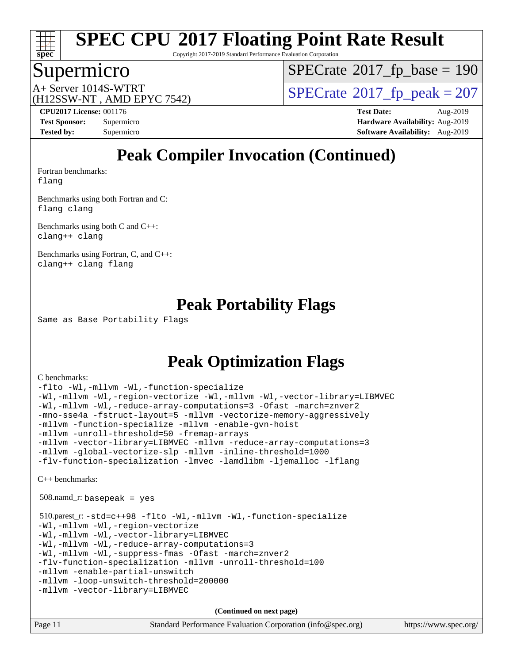

Copyright 2017-2019 Standard Performance Evaluation Corporation

### Supermicro

 $SPECrate$ <sup>®</sup>[2017\\_fp\\_base =](http://www.spec.org/auto/cpu2017/Docs/result-fields.html#SPECrate2017fpbase) 190

(H12SSW-NT , AMD EPYC 7542)

 $A+$  Server 1014S-WTRT  $\begin{array}{c|c}\n\text{SPECrate} \text{\textdegree}2017\_fp\_peak = 207\n\end{array}$  $\begin{array}{c|c}\n\text{SPECrate} \text{\textdegree}2017\_fp\_peak = 207\n\end{array}$  $\begin{array}{c|c}\n\text{SPECrate} \text{\textdegree}2017\_fp\_peak = 207\n\end{array}$ 

**[CPU2017 License:](http://www.spec.org/auto/cpu2017/Docs/result-fields.html#CPU2017License)** 001176 **[Test Date:](http://www.spec.org/auto/cpu2017/Docs/result-fields.html#TestDate)** Aug-2019 **[Test Sponsor:](http://www.spec.org/auto/cpu2017/Docs/result-fields.html#TestSponsor)** Supermicro **[Hardware Availability:](http://www.spec.org/auto/cpu2017/Docs/result-fields.html#HardwareAvailability)** Aug-2019 **[Tested by:](http://www.spec.org/auto/cpu2017/Docs/result-fields.html#Testedby)** Supermicro **[Software Availability:](http://www.spec.org/auto/cpu2017/Docs/result-fields.html#SoftwareAvailability)** Aug-2019

# **[Peak Compiler Invocation \(Continued\)](http://www.spec.org/auto/cpu2017/Docs/result-fields.html#PeakCompilerInvocation)**

[Fortran benchmarks](http://www.spec.org/auto/cpu2017/Docs/result-fields.html#Fortranbenchmarks): [flang](http://www.spec.org/cpu2017/results/res2019q3/cpu2017-20190902-17506.flags.html#user_FCpeak_flang)

[Benchmarks using both Fortran and C](http://www.spec.org/auto/cpu2017/Docs/result-fields.html#BenchmarksusingbothFortranandC):

[flang](http://www.spec.org/cpu2017/results/res2019q3/cpu2017-20190902-17506.flags.html#user_CC_FCpeak_flang) [clang](http://www.spec.org/cpu2017/results/res2019q3/cpu2017-20190902-17506.flags.html#user_CC_FCpeak_clang-c)

[Benchmarks using both C and C++](http://www.spec.org/auto/cpu2017/Docs/result-fields.html#BenchmarksusingbothCandCXX): [clang++](http://www.spec.org/cpu2017/results/res2019q3/cpu2017-20190902-17506.flags.html#user_CC_CXXpeak_clang-cpp) [clang](http://www.spec.org/cpu2017/results/res2019q3/cpu2017-20190902-17506.flags.html#user_CC_CXXpeak_clang-c)

[Benchmarks using Fortran, C, and C++:](http://www.spec.org/auto/cpu2017/Docs/result-fields.html#BenchmarksusingFortranCandCXX) [clang++](http://www.spec.org/cpu2017/results/res2019q3/cpu2017-20190902-17506.flags.html#user_CC_CXX_FCpeak_clang-cpp) [clang](http://www.spec.org/cpu2017/results/res2019q3/cpu2017-20190902-17506.flags.html#user_CC_CXX_FCpeak_clang-c) [flang](http://www.spec.org/cpu2017/results/res2019q3/cpu2017-20190902-17506.flags.html#user_CC_CXX_FCpeak_flang)

### **[Peak Portability Flags](http://www.spec.org/auto/cpu2017/Docs/result-fields.html#PeakPortabilityFlags)**

Same as Base Portability Flags

# **[Peak Optimization Flags](http://www.spec.org/auto/cpu2017/Docs/result-fields.html#PeakOptimizationFlags)**

#### [C benchmarks](http://www.spec.org/auto/cpu2017/Docs/result-fields.html#Cbenchmarks):

[-flto](http://www.spec.org/cpu2017/results/res2019q3/cpu2017-20190902-17506.flags.html#user_CCpeak_aocc-flto) [-Wl,-mllvm -Wl,-function-specialize](http://www.spec.org/cpu2017/results/res2019q3/cpu2017-20190902-17506.flags.html#user_CCpeak_F-function-specialize_7e7e661e57922243ee67c9a1251cb8910e607325179a0ce7f2884e09a6f5d4a5ef0ae4f37e8a2a11c95fc48e931f06dc2b6016f14b511fcb441e048bef1b065a) [-Wl,-mllvm -Wl,-region-vectorize](http://www.spec.org/cpu2017/results/res2019q3/cpu2017-20190902-17506.flags.html#user_CCpeak_F-region-vectorize_fb6c6b5aa293c88efc6c7c2b52b20755e943585b1fe8658c35afef78727fff56e1a56891413c30e36b8e2a6f9a71126986319243e80eb6110b78b288f533c52b) [-Wl,-mllvm -Wl,-vector-library=LIBMVEC](http://www.spec.org/cpu2017/results/res2019q3/cpu2017-20190902-17506.flags.html#user_CCpeak_F-use-vector-library_0a14b27fae317f283640384a31f7bfcc2bd4c1d0b5cfc618a3a430800c9b20217b00f61303eff223a3251b4f06ffbc9739dc5296db9d1fbb9ad24a3939d86d66) [-Wl,-mllvm -Wl,-reduce-array-computations=3](http://www.spec.org/cpu2017/results/res2019q3/cpu2017-20190902-17506.flags.html#user_CCpeak_F-reduce-array-computations_b882aefe7a5dda4e33149f6299762b9a720dace3e498e13756f4c04e5a19edf5315c1f3993de2e61ec41e8c206231f84e05da7040e1bb5d69ba27d10a12507e4) [-Ofast](http://www.spec.org/cpu2017/results/res2019q3/cpu2017-20190902-17506.flags.html#user_CCpeak_aocc-Ofast) [-march=znver2](http://www.spec.org/cpu2017/results/res2019q3/cpu2017-20190902-17506.flags.html#user_CCpeak_aocc-march_3e2e19cff2eeef60c5d90b059483627c9ea47eca6d66670dbd53f9185f6439e27eb5e104cf773e9e8ab18c8842ce63e461a3e948d0214bd567ef3ade411bf467) [-mno-sse4a](http://www.spec.org/cpu2017/results/res2019q3/cpu2017-20190902-17506.flags.html#user_CCpeak_F-mno-sse4a) [-fstruct-layout=5](http://www.spec.org/cpu2017/results/res2019q3/cpu2017-20190902-17506.flags.html#user_CCpeak_F-struct-layout_0de9d3561e9f54a54e0843cce081bd13a08ab3e9a82696f3346606c2e11360c37113781019b02fa128d9f650e68f1ffd209bab5c3a026c1ad23e4e7f60646b23) [-mllvm -vectorize-memory-aggressively](http://www.spec.org/cpu2017/results/res2019q3/cpu2017-20190902-17506.flags.html#user_CCpeak_F-vectorize-memory-aggressively_24b72a4417f50ade9e698c5b3bed87ab456cc6fc8ec6439480cb84f36ad6a3975af6e87206dea402e3871a1464ff3d60bc798e0250f330177ba629a260df1857) [-mllvm -function-specialize](http://www.spec.org/cpu2017/results/res2019q3/cpu2017-20190902-17506.flags.html#user_CCpeak_F-function-specialize_233b3bdba86027f1b094368157e481c5bc59f40286dc25bfadc1858dcd5745c24fd30d5f188710db7fea399bcc9f44a80b3ce3aacc70a8870250c3ae5e1f35b8) [-mllvm -enable-gvn-hoist](http://www.spec.org/cpu2017/results/res2019q3/cpu2017-20190902-17506.flags.html#user_CCpeak_F-enable-gvn-hoist_e5856354646dd6ca1333a0ad99b817e4cf8932b91b82809fd8fd47ceff7b22a89eba5c98fd3e3fa5200368fd772cec3dd56abc3c8f7b655a71b9f9848dddedd5) [-mllvm -unroll-threshold=50](http://www.spec.org/cpu2017/results/res2019q3/cpu2017-20190902-17506.flags.html#user_CCpeak_F-unroll-threshold_458874500b2c105d6d5cb4d7a611c40e2b16e9e3d26b355fea72d644c3673b4de4b3932662f0ed3dbec75c491a13da2d2ca81180bd779dc531083ef1e1e549dc) [-fremap-arrays](http://www.spec.org/cpu2017/results/res2019q3/cpu2017-20190902-17506.flags.html#user_CCpeak_F-fremap-arrays) [-mllvm -vector-library=LIBMVEC](http://www.spec.org/cpu2017/results/res2019q3/cpu2017-20190902-17506.flags.html#user_CCpeak_F-use-vector-library_e584e20b4f7ec96aa109254b65d8e01d864f3d68580371b9d93ed7c338191d4cfce20c3c864632264effc6bbe4c7c38153d02096a342ee92501c4a53204a7871) [-mllvm -reduce-array-computations=3](http://www.spec.org/cpu2017/results/res2019q3/cpu2017-20190902-17506.flags.html#user_CCpeak_F-reduce-array-computations_aceadb8604558b566e0e3a0d7a3c1533923dd1fa0889614e16288028922629a28d5695c24d3b3be4306b1e311c54317dfffe3a2e57fbcaabc737a1798de39145) [-mllvm -global-vectorize-slp](http://www.spec.org/cpu2017/results/res2019q3/cpu2017-20190902-17506.flags.html#user_CCpeak_F-global-vectorize-slp_a3935e8627af4ced727033b1ffd4db27f4d541a363d28d82bf4c2925fb3a0fd4115d6e42d13a2829f9e024d6608eb67a85cb49770f2da5c5ac8dbc737afad603) [-mllvm -inline-threshold=1000](http://www.spec.org/cpu2017/results/res2019q3/cpu2017-20190902-17506.flags.html#user_CCpeak_dragonegg-llvm-inline-threshold_b7832241b0a6397e4ecdbaf0eb7defdc10f885c2a282fa3240fdc99844d543fda39cf8a4a9dccf68cf19b5438ac3b455264f478df15da0f4988afa40d8243bab) [-flv-function-specialization](http://www.spec.org/cpu2017/results/res2019q3/cpu2017-20190902-17506.flags.html#user_CCpeak_F-flv-function-specialization) [-lmvec](http://www.spec.org/cpu2017/results/res2019q3/cpu2017-20190902-17506.flags.html#user_CCpeak_F-lmvec) [-lamdlibm](http://www.spec.org/cpu2017/results/res2019q3/cpu2017-20190902-17506.flags.html#user_CCpeak_F-lamdlibm) [-ljemalloc](http://www.spec.org/cpu2017/results/res2019q3/cpu2017-20190902-17506.flags.html#user_CCpeak_jemalloc-lib) [-lflang](http://www.spec.org/cpu2017/results/res2019q3/cpu2017-20190902-17506.flags.html#user_CCpeak_F-lflang)

[C++ benchmarks:](http://www.spec.org/auto/cpu2017/Docs/result-fields.html#CXXbenchmarks)

508.namd\_r: basepeak = yes

```
 510.parest_r: -std=c++98 -flto -Wl,-mllvm -Wl,-function-specialize
-Wl,-mllvm -Wl,-region-vectorize
-Wl,-mllvm -Wl,-vector-library=LIBMVEC
-Wl,-mllvm -Wl,-reduce-array-computations=3
-Wl,-mllvm -Wl,-suppress-fmas -Ofast -march=znver2
-flv-function-specialization -mllvm -unroll-threshold=100
-mllvm -enable-partial-unswitch
-mllvm -loop-unswitch-threshold=200000
-mllvm -vector-library=LIBMVEC
```

| Page 11 | Standard Performance Evaluation Corporation (info@spec.org) | https://www.spec.org/ |
|---------|-------------------------------------------------------------|-----------------------|
|         |                                                             |                       |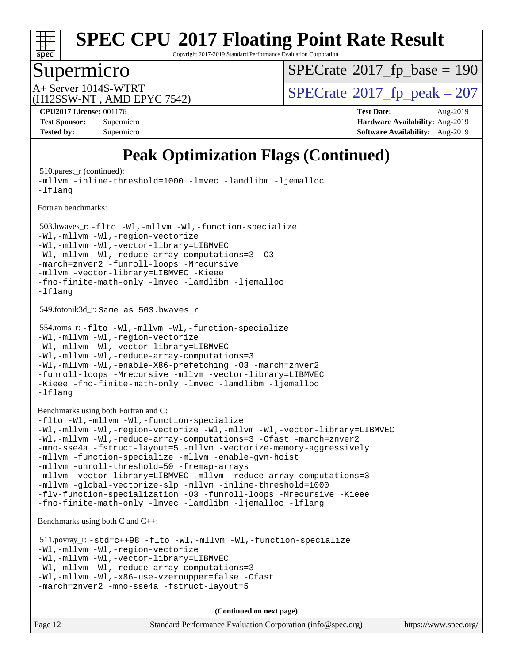

Copyright 2017-2019 Standard Performance Evaluation Corporation

# Supermicro

 $SPECrate$ <sup>®</sup>[2017\\_fp\\_base =](http://www.spec.org/auto/cpu2017/Docs/result-fields.html#SPECrate2017fpbase) 190

(H12SSW-NT , AMD EPYC 7542)

 $A+$  Server 1014S-WTRT  $\begin{array}{c|c}\n\text{SPECrate} \text{\textdegree}2017\_fp\_peak = 207\n\end{array}$  $\begin{array}{c|c}\n\text{SPECrate} \text{\textdegree}2017\_fp\_peak = 207\n\end{array}$  $\begin{array}{c|c}\n\text{SPECrate} \text{\textdegree}2017\_fp\_peak = 207\n\end{array}$ 

**[CPU2017 License:](http://www.spec.org/auto/cpu2017/Docs/result-fields.html#CPU2017License)** 001176 **[Test Date:](http://www.spec.org/auto/cpu2017/Docs/result-fields.html#TestDate)** Aug-2019 **[Test Sponsor:](http://www.spec.org/auto/cpu2017/Docs/result-fields.html#TestSponsor)** Supermicro **[Hardware Availability:](http://www.spec.org/auto/cpu2017/Docs/result-fields.html#HardwareAvailability)** Aug-2019 **[Tested by:](http://www.spec.org/auto/cpu2017/Docs/result-fields.html#Testedby)** Supermicro **[Software Availability:](http://www.spec.org/auto/cpu2017/Docs/result-fields.html#SoftwareAvailability)** Aug-2019

# **[Peak Optimization Flags \(Continued\)](http://www.spec.org/auto/cpu2017/Docs/result-fields.html#PeakOptimizationFlags)**

510.parest r (continued): [-mllvm -inline-threshold=1000](http://www.spec.org/cpu2017/results/res2019q3/cpu2017-20190902-17506.flags.html#user_peakCXXOPTIMIZE510_parest_r_dragonegg-llvm-inline-threshold_b7832241b0a6397e4ecdbaf0eb7defdc10f885c2a282fa3240fdc99844d543fda39cf8a4a9dccf68cf19b5438ac3b455264f478df15da0f4988afa40d8243bab) [-lmvec](http://www.spec.org/cpu2017/results/res2019q3/cpu2017-20190902-17506.flags.html#user_peakEXTRA_LIBS510_parest_r_F-lmvec) [-lamdlibm](http://www.spec.org/cpu2017/results/res2019q3/cpu2017-20190902-17506.flags.html#user_peakEXTRA_LIBS510_parest_r_F-lamdlibm) [-ljemalloc](http://www.spec.org/cpu2017/results/res2019q3/cpu2017-20190902-17506.flags.html#user_peakEXTRA_LIBS510_parest_r_jemalloc-lib) [-lflang](http://www.spec.org/cpu2017/results/res2019q3/cpu2017-20190902-17506.flags.html#user_peakEXTRA_LIBS510_parest_r_F-lflang)

[Fortran benchmarks](http://www.spec.org/auto/cpu2017/Docs/result-fields.html#Fortranbenchmarks):

 503.bwaves\_r: [-flto](http://www.spec.org/cpu2017/results/res2019q3/cpu2017-20190902-17506.flags.html#user_peakFOPTIMIZELDFLAGS503_bwaves_r_aocc-flto) [-Wl,-mllvm -Wl,-function-specialize](http://www.spec.org/cpu2017/results/res2019q3/cpu2017-20190902-17506.flags.html#user_peakLDFLAGS503_bwaves_r_F-function-specialize_7e7e661e57922243ee67c9a1251cb8910e607325179a0ce7f2884e09a6f5d4a5ef0ae4f37e8a2a11c95fc48e931f06dc2b6016f14b511fcb441e048bef1b065a) [-Wl,-mllvm -Wl,-region-vectorize](http://www.spec.org/cpu2017/results/res2019q3/cpu2017-20190902-17506.flags.html#user_peakLDFLAGS503_bwaves_r_F-region-vectorize_fb6c6b5aa293c88efc6c7c2b52b20755e943585b1fe8658c35afef78727fff56e1a56891413c30e36b8e2a6f9a71126986319243e80eb6110b78b288f533c52b) [-Wl,-mllvm -Wl,-vector-library=LIBMVEC](http://www.spec.org/cpu2017/results/res2019q3/cpu2017-20190902-17506.flags.html#user_peakLDFLAGS503_bwaves_r_F-use-vector-library_0a14b27fae317f283640384a31f7bfcc2bd4c1d0b5cfc618a3a430800c9b20217b00f61303eff223a3251b4f06ffbc9739dc5296db9d1fbb9ad24a3939d86d66) [-Wl,-mllvm -Wl,-reduce-array-computations=3](http://www.spec.org/cpu2017/results/res2019q3/cpu2017-20190902-17506.flags.html#user_peakLDFLAGS503_bwaves_r_F-reduce-array-computations_b882aefe7a5dda4e33149f6299762b9a720dace3e498e13756f4c04e5a19edf5315c1f3993de2e61ec41e8c206231f84e05da7040e1bb5d69ba27d10a12507e4) [-O3](http://www.spec.org/cpu2017/results/res2019q3/cpu2017-20190902-17506.flags.html#user_peakFOPTIMIZE503_bwaves_r_F-O3) [-march=znver2](http://www.spec.org/cpu2017/results/res2019q3/cpu2017-20190902-17506.flags.html#user_peakFOPTIMIZE503_bwaves_r_aocc-march_3e2e19cff2eeef60c5d90b059483627c9ea47eca6d66670dbd53f9185f6439e27eb5e104cf773e9e8ab18c8842ce63e461a3e948d0214bd567ef3ade411bf467) [-funroll-loops](http://www.spec.org/cpu2017/results/res2019q3/cpu2017-20190902-17506.flags.html#user_peakFOPTIMIZE503_bwaves_r_aocc-unroll-loops) [-Mrecursive](http://www.spec.org/cpu2017/results/res2019q3/cpu2017-20190902-17506.flags.html#user_peakFOPTIMIZE503_bwaves_r_F-mrecursive_20a145d63f12d5750a899e17d4450b5b8b40330a9bb4af13688ca650e6fb30857bbbe44fb35cdbb895df6e5b2769de0a0d7659f51ff17acfbef6febafec4023f) [-mllvm -vector-library=LIBMVEC](http://www.spec.org/cpu2017/results/res2019q3/cpu2017-20190902-17506.flags.html#user_peakFOPTIMIZE503_bwaves_r_F-use-vector-library_e584e20b4f7ec96aa109254b65d8e01d864f3d68580371b9d93ed7c338191d4cfce20c3c864632264effc6bbe4c7c38153d02096a342ee92501c4a53204a7871) [-Kieee](http://www.spec.org/cpu2017/results/res2019q3/cpu2017-20190902-17506.flags.html#user_peakEXTRA_FFLAGS503_bwaves_r_F-kieee) [-fno-finite-math-only](http://www.spec.org/cpu2017/results/res2019q3/cpu2017-20190902-17506.flags.html#user_peakEXTRA_FFLAGS503_bwaves_r_aocc-fno-finite-math-only) [-lmvec](http://www.spec.org/cpu2017/results/res2019q3/cpu2017-20190902-17506.flags.html#user_peakEXTRA_FLIBSEXTRA_LIBS503_bwaves_r_F-lmvec) [-lamdlibm](http://www.spec.org/cpu2017/results/res2019q3/cpu2017-20190902-17506.flags.html#user_peakEXTRA_FLIBSEXTRA_LIBS503_bwaves_r_F-lamdlibm) [-ljemalloc](http://www.spec.org/cpu2017/results/res2019q3/cpu2017-20190902-17506.flags.html#user_peakEXTRA_LIBS503_bwaves_r_jemalloc-lib) [-lflang](http://www.spec.org/cpu2017/results/res2019q3/cpu2017-20190902-17506.flags.html#user_peakEXTRA_LIBS503_bwaves_r_F-lflang)

549.fotonik3d\_r: Same as 503.bwaves\_r

```
 554.roms_r: -flto -Wl,-mllvm -Wl,-function-specialize
-Wl,-mllvm -Wl,-region-vectorize
-Wl,-mllvm -Wl,-vector-library=LIBMVEC
-Wl,-mllvm -Wl,-reduce-array-computations=3
-Wl,-mllvm -Wl,-enable-X86-prefetching -O3 -march=znver2
-funroll-loops -Mrecursive -mllvm -vector-library=LIBMVEC
-Kieee -fno-finite-math-only -lmvec -lamdlibm -ljemalloc
-lflang
```
[Benchmarks using both Fortran and C](http://www.spec.org/auto/cpu2017/Docs/result-fields.html#BenchmarksusingbothFortranandC):

```
-flto -Wl,-mllvm -Wl,-function-specialize
-Wl,-mllvm -Wl,-region-vectorize -Wl,-mllvm -Wl,-vector-library=LIBMVEC
-Wl,-mllvm -Wl,-reduce-array-computations=3 -Ofast -march=znver2
-mno-sse4a -fstruct-layout=5 -mllvm -vectorize-memory-aggressively
-mllvm -function-specialize -mllvm -enable-gvn-hoist
-mllvm -unroll-threshold=50 -fremap-arrays
-mllvm -vector-library=LIBMVEC -mllvm -reduce-array-computations=3
-mllvm -global-vectorize-slp -mllvm -inline-threshold=1000
-flv-function-specialization -O3 -funroll-loops -Mrecursive -Kieee
-fno-finite-math-only -lmvec -lamdlibm -ljemalloc -lflang
```
[Benchmarks using both C and C++](http://www.spec.org/auto/cpu2017/Docs/result-fields.html#BenchmarksusingbothCandCXX):

```
 511.povray_r: -std=c++98 -flto -Wl,-mllvm -Wl,-function-specialize
-Wl,-mllvm -Wl,-region-vectorize
-Wl,-mllvm -Wl,-vector-library=LIBMVEC
-Wl,-mllvm -Wl,-reduce-array-computations=3
-Wl,-mllvm -Wl,-x86-use-vzeroupper=false -Ofast
-march=znver2 -mno-sse4a -fstruct-layout=5
```